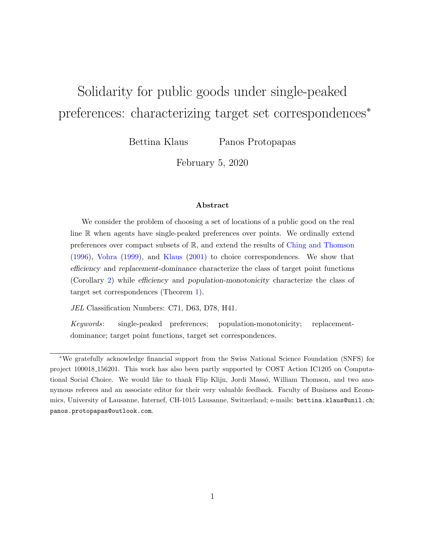# Solidarity for public goods under single-peaked preferences: characterizing target set correspondences<sup>\*</sup>

Bettina Klaus Panos Protopapas

February 5, 2020

#### Abstract

We consider the problem of choosing a set of locations of a public good on the real line R when agents have single-peaked preferences over points. We ordinally extend preferences over compact subsets of R, and extend the results of [Ching and Thomson](#page-29-0) [\(1996\)](#page-29-0), [Vohra](#page-31-0) [\(1999\)](#page-31-0), and [Klaus](#page-30-0) [\(2001\)](#page-30-0) to choice correspondences. We show that efficiency and replacement-dominance characterize the class of target point functions (Corollary [2\)](#page-8-0) while efficiency and population-monotonicity characterize the class of target set correspondences (Theorem [1\)](#page-9-0).

JEL Classification Numbers: C71, D63, D78, H41.

Keywords: single-peaked preferences; population-monotonicity; replacementdominance; target point functions, target set correspondences.

<sup>∗</sup>We gratefully acknowledge financial support from the Swiss National Science Foundation (SNFS) for project 100018 156201. This work has also been partly supported by COST Action IC1205 on Computational Social Choice. We would like to thank Flip Klijn, Jordi Massó, William Thomson, and two anonymous referees and an associate editor for their very valuable feedback. Faculty of Business and Economics, University of Lausanne, Internef, CH-1015 Lausanne, Switzerland; e-mails: bettina.klaus@unil.ch; panos.protopapas@outlook.com.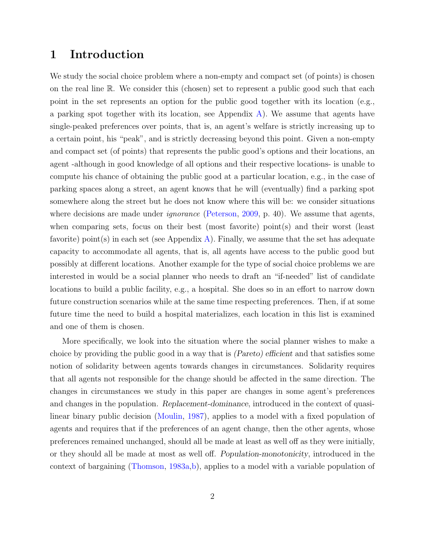### 1 Introduction

We study the social choice problem where a non-empty and compact set (of points) is chosen on the real line R. We consider this (chosen) set to represent a public good such that each point in the set represents an option for the public good together with its location (e.g., a parking spot together with its location, see Appendix  $\bf{A}$ ). We assume that agents have single-peaked preferences over points, that is, an agent's welfare is strictly increasing up to a certain point, his "peak", and is strictly decreasing beyond this point. Given a non-empty and compact set (of points) that represents the public good's options and their locations, an agent -although in good knowledge of all options and their respective locations- is unable to compute his chance of obtaining the public good at a particular location, e.g., in the case of parking spaces along a street, an agent knows that he will (eventually) find a parking spot somewhere along the street but he does not know where this will be: we consider situations where decisions are made under *ignorance* [\(Peterson,](#page-31-1) [2009,](#page-31-1) p. 40). We assume that agents, when comparing sets, focus on their best (most favorite) point(s) and their worst (least favorite) point(s) in each set (see Appendix [A\)](#page-13-0). Finally, we assume that the set has adequate capacity to accommodate all agents, that is, all agents have access to the public good but possibly at different locations. Another example for the type of social choice problems we are interested in would be a social planner who needs to draft an "if-needed" list of candidate locations to build a public facility, e.g., a hospital. She does so in an effort to narrow down future construction scenarios while at the same time respecting preferences. Then, if at some future time the need to build a hospital materializes, each location in this list is examined and one of them is chosen.

More specifically, we look into the situation where the social planner wishes to make a choice by providing the public good in a way that is (Pareto) efficient and that satisfies some notion of solidarity between agents towards changes in circumstances. Solidarity requires that all agents not responsible for the change should be affected in the same direction. The changes in circumstances we study in this paper are changes in some agent's preferences and changes in the population. Replacement-dominance, introduced in the context of quasilinear binary public decision [\(Moulin,](#page-31-2) [1987\)](#page-31-2), applies to a model with a fixed population of agents and requires that if the preferences of an agent change, then the other agents, whose preferences remained unchanged, should all be made at least as well off as they were initially, or they should all be made at most as well off. Population-monotonicity, introduced in the context of bargaining [\(Thomson,](#page-31-3) [1983a,](#page-31-3)[b\)](#page-31-4), applies to a model with a variable population of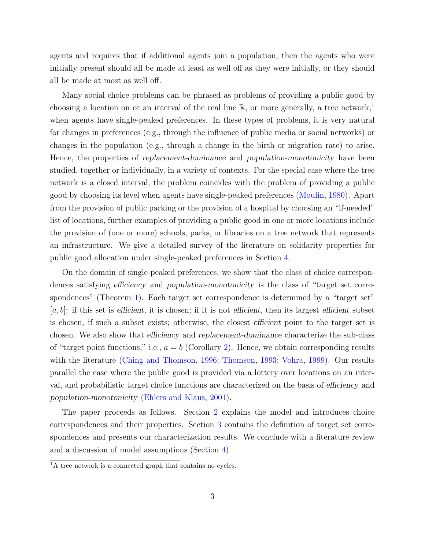agents and requires that if additional agents join a population, then the agents who were initially present should all be made at least as well off as they were initially, or they should all be made at most as well off.

Many social choice problems can be phrased as problems of providing a public good by choosing a location on or an interval of the real line  $\mathbb{R}$ , or more generally, a tree network,<sup>[1](#page-2-0)</sup> when agents have single-peaked preferences. In these types of problems, it is very natural for changes in preferences (e.g., through the influence of public media or social networks) or changes in the population (e.g., through a change in the birth or migration rate) to arise. Hence, the properties of replacement-dominance and population-monotonicity have been studied, together or individually, in a variety of contexts. For the special case where the tree network is a closed interval, the problem coincides with the problem of providing a public good by choosing its level when agents have single-peaked preferences [\(Moulin,](#page-30-1) [1980\)](#page-30-1). Apart from the provision of public parking or the provision of a hospital by choosing an "if-needed" list of locations, further examples of providing a public good in one or more locations include the provision of (one or more) schools, parks, or libraries on a tree network that represents an infrastructure. We give a detailed survey of the literature on solidarity properties for public good allocation under single-peaked preferences in Section [4.](#page-9-1)

On the domain of single-peaked preferences, we show that the class of choice correspondences satisfying efficiency and population-monotonicity is the class of "target set corre-spondences" (Theorem [1\)](#page-9-0). Each target set correspondence is determined by a "target set"  $[a, b]$ : if this set is efficient, it is chosen; if it is not efficient, then its largest efficient subset is chosen, if such a subset exists; otherwise, the closest efficient point to the target set is chosen. We also show that efficiency and replacement-dominance characterize the sub-class of "target point functions," i.e.,  $a = b$  (Corollary [2\)](#page-8-0). Hence, we obtain corresponding results with the literature [\(Ching and Thomson,](#page-29-0) [1996;](#page-29-0) [Thomson,](#page-31-5) [1993;](#page-31-5) [Vohra,](#page-31-0) [1999\)](#page-31-0). Our results parallel the case where the public good is provided via a lottery over locations on an interval, and probabilistic target choice functions are characterized on the basis of efficiency and population-monotonicity [\(Ehlers and Klaus,](#page-30-2) [2001\)](#page-30-2).

The paper proceeds as follows. Section [2](#page-3-0) explains the model and introduces choice correspondences and their properties. Section [3](#page-8-1) contains the definition of target set correspondences and presents our characterization results. We conclude with a literature review and a discussion of model assumptions (Section [4\)](#page-9-1).

<span id="page-2-0"></span> $\overline{A}$  a tree network is a connected graph that contains no cycles.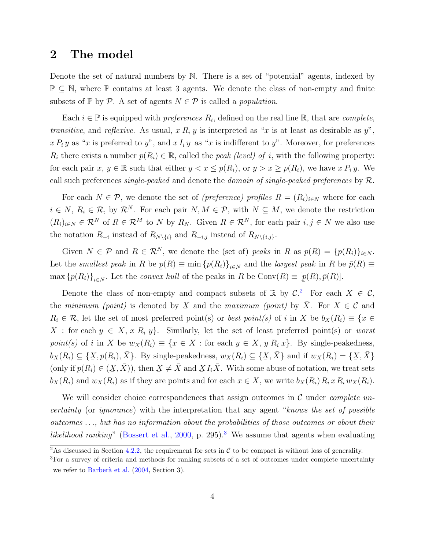### <span id="page-3-0"></span>2 The model

Denote the set of natural numbers by N. There is a set of "potential" agents, indexed by  $\mathbb{P} \subseteq \mathbb{N}$ , where  $\mathbb{P}$  contains at least 3 agents. We denote the class of non-empty and finite subsets of  $\mathbb P$  by  $\mathcal P$ . A set of agents  $N \in \mathcal P$  is called a *population*.

Each  $i \in \mathbb{P}$  is equipped with *preferences*  $R_i$ , defined on the real line  $\mathbb{R}$ , that are *complete*, transitive, and reflexive. As usual,  $x R_i y$  is interpreted as "x is at least as desirable as  $y$ ",  $x P_i y$  as "x is preferred to y", and  $x I_i y$  as "x is indifferent to y". Moreover, for preferences  $R_i$  there exists a number  $p(R_i) \in \mathbb{R}$ , called the *peak (level) of i*, with the following property: for each pair x,  $y \in \mathbb{R}$  such that either  $y < x \leq p(R_i)$ , or  $y > x \geq p(R_i)$ , we have x  $P_i y$ . We call such preferences single-peaked and denote the domain of single-peaked preferences by  $R$ .

For each  $N \in \mathcal{P}$ , we denote the set of (preference) profiles  $R = (R_i)_{i \in N}$  where for each  $i \in N$ ,  $R_i \in \mathcal{R}$ , by  $\mathcal{R}^N$ . For each pair  $N, M \in \mathcal{P}$ , with  $N \subseteq M$ , we denote the restriction  $(R_i)_{i\in\mathbb{N}}\in\mathcal{R}^N$  of  $R\in\mathcal{R}^M$  to N by  $R_N$ . Given  $R\in\mathcal{R}^N$ , for each pair  $i,j\in\mathbb{N}$  we also use the notation  $R_{-i}$  instead of  $R_{N\setminus\{i\}}$  and  $R_{-i,j}$  instead of  $R_{N\setminus\{i,j\}}$ .

Given  $N \in \mathcal{P}$  and  $R \in \mathcal{R}^N$ , we denote the (set of) peaks in R as  $p(R) = \{p(R_i)\}_{i \in N}$ . Let the smallest peak in R be  $p(R) \equiv \min \{p(R_i)\}_{i \in N}$  and the largest peak in R be  $\bar{p}(R) \equiv$  $\max \{p(R_i)\}_{i\in N}$ . Let the *convex hull* of the peaks in R be Conv $(R) \equiv [$ ¯  $p(R), \bar{p}(R)$ .

Denote the class of non-empty and compact subsets of  $\mathbb R$  by  $\mathcal C$ . For each  $X \in \mathcal C$ , the *minimum (point)* is denoted by ¯ X and the *maximum (point)* by  $\overline{X}$ . For  $X \in \mathcal{C}$  and  $R_i \in \mathcal{R}$ , let the set of most preferred point(s) or *best point(s)* of i in X be  $b_X(R_i) \equiv \{x \in$ X : for each  $y \in X$ , x  $R_i$  y. Similarly, let the set of least preferred point(s) or worst point(s) of i in X be  $w_X(R_i) \equiv \{x \in X : \text{for each } y \in X, y R_i x\}$ . By single-peakedness,  $b_X(R_i) \subseteq \{X, p(R_i), \bar{X}\}\$ . By single-peakedness,  $w_X(R_i) \subseteq \{X, \bar{X}\}\$  and if  $w_X(R_i) = \{X, \bar{X}\}\$  $\Delta$ ,  $p(xq)$ ,  $\Delta$  j.  $D$  single point in  $\Delta(xq) \leq (2\Delta, \Delta)$  and  $\Delta(xq) = (2\Delta, \Delta)$ (only if  $p(R_i) \in (\underline{X})$  $(X,\bar{X})$ , then ¯  $X \neq \overline{X}$  and  $X I_i \overline{X}$ . With some abuse of notation, we treat sets  $b_X(R_i)$  and  $w_X(R_i)$  as if they are points and for each  $x \in X$ , we write  $b_X(R_i)R_ixR_i w_X(R_i)$ .

We will consider choice correspondences that assign outcomes in  $\mathcal C$  under *complete un*certainty (or ignorance) with the interpretation that any agent "knows the set of possible outcomes . . ., but has no information about the probabilities of those outcomes or about their likelihood ranking" [\(Bossert et al.,](#page-29-1) [2000,](#page-29-1) p. 295).<sup>[3](#page-3-2)</sup> We assume that agents when evaluating

<span id="page-3-1"></span> $\overline{a_{\text{As}}\}$  discussed in Section [4.2.2,](#page-12-0) the requirement for sets in C to be compact is without loss of generality.

<span id="page-3-2"></span><sup>&</sup>lt;sup>3</sup>For a survey of criteria and methods for ranking subsets of a set of outcomes under complete uncertainty we refer to Barberà et al. [\(2004,](#page-29-2) Section 3).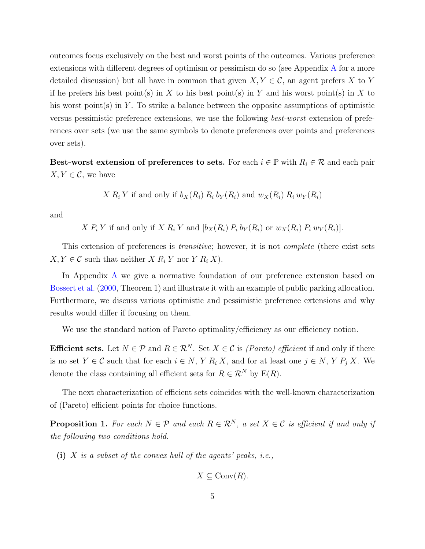outcomes focus exclusively on the best and worst points of the outcomes. Various preference extensions with different degrees of optimism or pessimism do so (see Appendix [A](#page-13-0) for a more detailed discussion) but all have in common that given  $X, Y \in \mathcal{C}$ , an agent prefers X to Y if he prefers his best point(s) in X to his best point(s) in Y and his worst point(s) in X to his worst point $(s)$  in Y. To strike a balance between the opposite assumptions of optimistic versus pessimistic preference extensions, we use the following best-worst extension of preferences over sets (we use the same symbols to denote preferences over points and preferences over sets).

Best-worst extension of preferences to sets. For each  $i \in \mathbb{P}$  with  $R_i \in \mathcal{R}$  and each pair  $X, Y \in \mathcal{C}$ , we have

$$
X R_i Y
$$
 if and only if  $b_X(R_i) R_i b_Y(R_i)$  and  $w_X(R_i) R_i w_Y(R_i)$ 

and

 $X P_i Y$  if and only if  $X R_i Y$  and  $[b_X(R_i) P_i b_Y(R_i)$  or  $w_X(R_i) P_i w_Y(R_i)].$ 

This extension of preferences is *transitive*; however, it is not *complete* (there exist sets  $X, Y \in \mathcal{C}$  such that neither  $X R_i Y$  nor  $Y R_i X$ ).

In Appendix [A](#page-13-0) we give a normative foundation of our preference extension based on [Bossert et al.](#page-29-1) [\(2000,](#page-29-1) Theorem 1) and illustrate it with an example of public parking allocation. Furthermore, we discuss various optimistic and pessimistic preference extensions and why results would differ if focusing on them.

We use the standard notion of Pareto optimality/efficiency as our efficiency notion.

**Efficient sets.** Let  $N \in \mathcal{P}$  and  $R \in \mathcal{R}^N$ . Set  $X \in \mathcal{C}$  is *(Pareto) efficient* if and only if there is no set  $Y \in \mathcal{C}$  such that for each  $i \in N$ , Y  $R_i X$ , and for at least one  $j \in N$ , Y  $P_j X$ . We denote the class containing all efficient sets for  $R \in \mathcal{R}^N$  by  $E(R)$ .

The next characterization of efficient sets coincides with the well-known characterization of (Pareto) efficient points for choice functions.

<span id="page-4-0"></span>**Proposition 1.** For each  $N \in \mathcal{P}$  and each  $R \in \mathcal{R}^N$ , a set  $X \in \mathcal{C}$  is efficient if and only if the following two conditions hold.

(i) X is a subset of the convex hull of the agents' peaks, i.e.,

 $X \subseteq \text{Conv}(R)$ .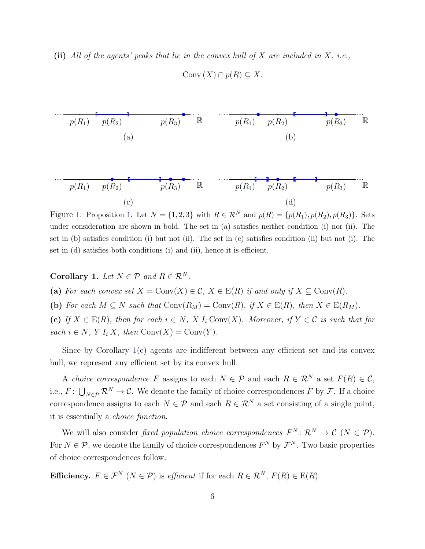(ii) All of the agents' peaks that lie in the convex hull of  $X$  are included in  $X$ , i.e.,

$$
p(R_1)
$$
  $p(R_2)$   $p(R_3)$   $\mathbb{R}$   $p(R_1)$   $p(R_2)$   $p(R_3)$   $\mathbb{R}$   
\n(a) (b)  $p(R_1)$   $p(R_2)$   $p(R_3)$   $\mathbb{R}$   $p(R_1)$   $p(R_2)$   $p(R_3)$   $\mathbb{R}$   
\n(c) (d)

Conv  $(X) \cap p(R) \subseteq X$ .

Figure 1: Proposition [1.](#page-4-0) Let  $N = \{1, 2, 3\}$  with  $R \in \mathcal{R}^N$  and  $p(R) = \{p(R_1), p(R_2), p(R_3)\}$ . Sets under consideration are shown in bold. The set in (a) satisfies neither condition (i) nor (ii). The set in (b) satisfies condition (i) but not (ii). The set in (c) satisfies condition (ii) but not (i). The set in (d) satisfies both conditions (i) and (ii), hence it is efficient.

<span id="page-5-0"></span>Corollary 1. Let  $N \in \mathcal{P}$  and  $R \in \mathcal{R}^N$ .

(a) For each convex set  $X = \text{Conv}(X) \in \mathcal{C}$ ,  $X \in E(R)$  if and only if  $X \subseteq \text{Conv}(R)$ .

(b) For each  $M \subseteq N$  such that  $Conv(R_M) = Conv(R)$ , if  $X \in E(R)$ , then  $X \in E(R_M)$ .

(c) If  $X \in E(R)$ , then for each  $i \in N$ ,  $X I_i Conv(X)$ . Moreover, if  $Y \in \mathcal{C}$  is such that for each  $i \in N$ , Y  $I_i X$ , then  $Conv(X) = Conv(Y)$ .

Since by Corollary [1\(](#page-5-0)c) agents are indifferent between any efficient set and its convex hull, we represent any efficient set by its convex hull.

A choice correspondence F assigns to each  $N \in \mathcal{P}$  and each  $R \in \mathcal{R}^N$  a set  $F(R) \in \mathcal{C}$ . i.e.,  $F: \bigcup_{N \in \mathcal{P}} \mathcal{R}^N \to \mathcal{C}$ . We denote the family of choice correspondences F by F. If a choice correspondence assigns to each  $N \in \mathcal{P}$  and each  $R \in \mathcal{R}^N$  a set consisting of a single point, it is essentially a choice function.

We will also consider *fixed population choice correspondences*  $F^N: \mathcal{R}^N \to \mathcal{C}$   $(N \in \mathcal{P})$ . For  $N \in \mathcal{P}$ , we denote the family of choice correspondences  $F^N$  by  $\mathcal{F}^N$ . Two basic properties of choice correspondences follow.

Efficiency.  $F \in \mathcal{F}^N$   $(N \in \mathcal{P})$  is efficient if for each  $R \in \mathcal{R}^N$ ,  $F(R) \in E(R)$ .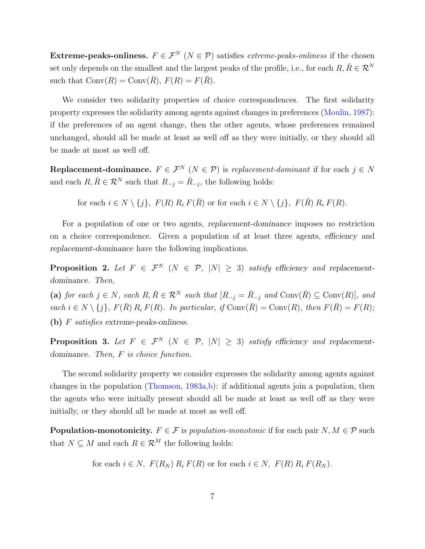Extreme-peaks-onliness.  $F \in \mathcal{F}^N$  ( $N \in \mathcal{P}$ ) satisfies *extreme-peaks-onliness* if the chosen set only depends on the smallest and the largest peaks of the profile, i.e., for each  $R, \overline{R} \in \mathcal{R}^N$ such that  $Conv(R) = Conv(\overline{R})$ ,  $F(R) = F(\overline{R})$ .

We consider two solidarity properties of choice correspondences. The first solidarity property expresses the solidarity among agents against changes in preferences [\(Moulin,](#page-31-2) [1987\)](#page-31-2): if the preferences of an agent change, then the other agents, whose preferences remained unchanged, should all be made at least as well off as they were initially, or they should all be made at most as well off.

Replacement-dominance.  $F \in \mathcal{F}^N$   $(N \in \mathcal{P})$  is replacement-dominant if for each  $j \in N$ and each  $R, \overline{R} \in \mathcal{R}^N$  such that  $R_{-j} = \overline{R}_{-j}$ , the following holds:

for each  $i \in N \setminus \{j\}, F(R) R_i F(\overline{R})$  or for each  $i \in N \setminus \{j\}, F(\overline{R}) R_i F(R)$ .

For a population of one or two agents, replacement-dominance imposes no restriction on a choice correspondence. Given a population of at least three agents, efficiency and replacement-dominance have the following implications.

<span id="page-6-1"></span>**Proposition 2.** Let  $F \in \mathcal{F}^N$  ( $N \in \mathcal{P}$ ,  $|N| \geq 3$ ) satisfy efficiency and replacementdominance. Then,

(a) for each  $j \in N$ , each  $R, \overline{R} \in \mathcal{R}^N$  such that  $[R_{-j} = \overline{R}_{-j}$  and  $Conv(\overline{R}) \subseteq Conv(R)]$ , and each  $i \in N \setminus \{j\}$ ,  $F(\overline{R}) R_i F(R)$ . In particular, if  $Conv(\overline{R}) = Conv(R)$ , then  $F(\overline{R}) = F(R)$ ; (b) F satisfies extreme-peaks-onliness.

<span id="page-6-0"></span>**Proposition 3.** Let  $F \in \mathcal{F}^N$  ( $N \in \mathcal{P}$ ,  $|N| \geq 3$ ) satisfy efficiency and replacementdominance. Then, F is choice function.

The second solidarity property we consider expresses the solidarity among agents against changes in the population [\(Thomson,](#page-31-3) [1983a,](#page-31-3)[b\)](#page-31-4): if additional agents join a population, then the agents who were initially present should all be made at least as well off as they were initially, or they should all be made at most as well off.

**Population-monotonicity.**  $F \in \mathcal{F}$  is population-monotonic if for each pair  $N, M \in \mathcal{P}$  such that  $N \subseteq M$  and each  $R \in \mathcal{R}^M$  the following holds:

for each  $i \in N$ ,  $F(R_N)$   $R_i$   $F(R)$  or for each  $i \in N$ ,  $F(R)$   $R_i$   $F(R_N)$ .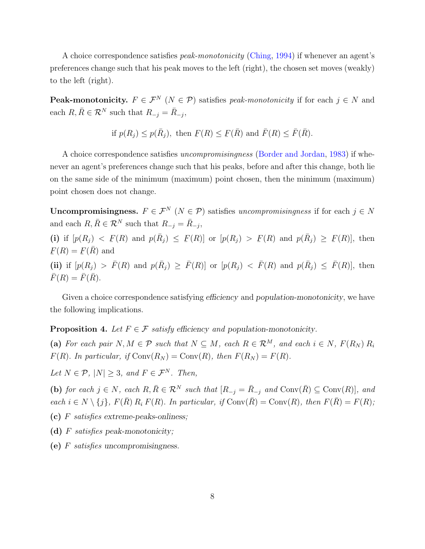A choice correspondence satisfies *peak-monotonicity* [\(Ching,](#page-29-3) [1994\)](#page-29-3) if whenever an agent's preferences change such that his peak moves to the left (right), the chosen set moves (weakly) to the left (right).

**Peak-monotonicity.**  $F \in \mathcal{F}^N$  ( $N \in \mathcal{P}$ ) satisfies *peak-monotonicity* if for each  $j \in N$  and each  $R, \overline{R} \in \mathcal{R}^N$  such that  $R_{-j} = \overline{R}_{-j}$ ,

if 
$$
p(R_j) \le p(\bar{R}_j)
$$
, then  $\underline{F}(R) \le \underline{F}(\bar{R})$  and  $\overline{F}(R) \le \overline{F}(\bar{R})$ .

A choice correspondence satisfies uncompromisingness [\(Border and Jordan,](#page-29-4) [1983\)](#page-29-4) if whenever an agent's preferences change such that his peaks, before and after this change, both lie on the same side of the minimum (maximum) point chosen, then the minimum (maximum) point chosen does not change.

Uncompromisingness.  $F \in \mathcal{F}^N$  ( $N \in \mathcal{P}$ ) satisfies uncompromisingness if for each  $j \in N$ and each  $R, \overline{R} \in \mathcal{R}^N$  such that  $R_{-j} = \overline{R}_{-j}$ ,

(i) if  $[p(R_j) < F$  $F(R)$  and  $p(\bar{R}_j) \leq F(R)$  or  $[p(R_j) > F]$  $F(R)$  and  $p(\bar{R}_j) \geq F$  $F(R)$ , then ¯  $F(R) =$ ¯  $F(\bar{R})$  and

(ii) if  $[p(R_j) > \overline{F}(R)$  and  $p(\overline{R}_j) \geq \overline{F}(R)$  or  $[p(R_j) < \overline{F}(R)$  and  $p(\overline{R}_j) \leq \overline{F}(R)$ , then  $\bar{F}(R) = \bar{F}(\bar{R}).$ 

Given a choice correspondence satisfying *efficiency* and *population-monotonicity*, we have the following implications.

<span id="page-7-0"></span>**Proposition 4.** Let  $F \in \mathcal{F}$  satisfy efficiency and population-monotonicity.

(a) For each pair  $N, M \in \mathcal{P}$  such that  $N \subseteq M$ , each  $R \in \mathcal{R}^M$ , and each  $i \in N$ ,  $F(R_N) R_i$  $F(R)$ . In particular, if  $Conv(R_N) = Conv(R)$ , then  $F(R_N) = F(R)$ .

Let  $N \in \mathcal{P}$ ,  $|N| > 3$ , and  $F \in \mathcal{F}^N$ . Then,

(b) for each  $j \in N$ , each  $R, \overline{R} \in \mathcal{R}^N$  such that  $[R_{-j} = \overline{R}_{-j}$  and  $Conv(\overline{R}) \subseteq Conv(R)]$ , and each  $i \in N \setminus \{j\}$ ,  $F(\overline{R}) R_i F(R)$ . In particular, if  $Conv(\overline{R}) = Conv(R)$ , then  $F(\overline{R}) = F(R)$ ;

- (c) F satisfies extreme-peaks-onliness;
- (d) F satisfies peak-monotonicity;
- (e) F satisfies uncompromisingness.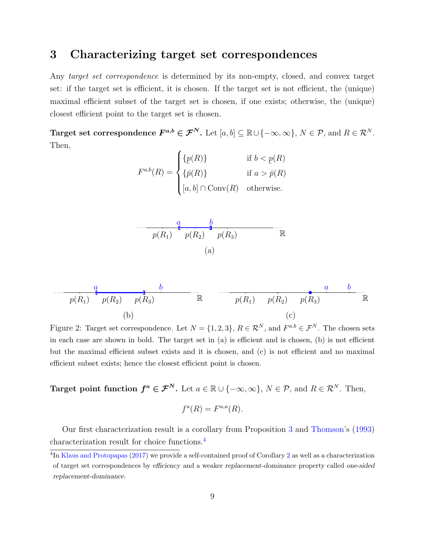### <span id="page-8-1"></span>3 Characterizing target set correspondences

Any *target set correspondence* is determined by its non-empty, closed, and convex target set: if the target set is efficient, it is chosen. If the target set is not efficient, the (unique) maximal efficient subset of the target set is chosen, if one exists; otherwise, the (unique) closest efficient point to the target set is chosen.

Target set correspondence  $F^{a,b} \in \mathcal{F}^N$ . Let  $[a,b] \subseteq \mathbb{R} \cup \{-\infty,\infty\}$ ,  $N \in \mathcal{P}$ , and  $R \in \mathcal{R}^N$ . Then,

$$
F^{a,b}(R) = \begin{cases} \{p(R)\} & \text{if } b < p(R) \\ \{\bar{p}(R)\} & \text{if } a > \bar{p}(R) \\ [a, b] \cap \text{Conv}(R) & \text{otherwise.} \end{cases}
$$



<sup>p</sup>(R1) <sup>p</sup>(R2) <sup>p</sup>(R3) <sup>R</sup> (b) a b <sup>p</sup>(R1) <sup>p</sup>(R2) <sup>p</sup>(R3) <sup>R</sup> (c) a b

Figure 2: Target set correspondence. Let  $N = \{1, 2, 3\}$ ,  $R \in \mathcal{R}^N$ , and  $F^{a,b} \in \mathcal{F}^N$ . The chosen sets in each case are shown in bold. The target set in (a) is efficient and is chosen, (b) is not efficient but the maximal efficient subset exists and it is chosen, and (c) is not efficient and no maximal efficient subset exists; hence the closest efficient point is chosen.

Target point function  $f^a \in \mathcal{F}^N$ . Let  $a \in \mathbb{R} \cup \{-\infty, \infty\}$ ,  $N \in \mathcal{P}$ , and  $R \in \mathcal{R}^N$ . Then,

$$
f^a(R) = F^{a,a}(R).
$$

Our first characterization result is a corollary from Proposition [3](#page-6-0) and [Thomson'](#page-31-5)s [\(1993\)](#page-31-5) characterization result for choice functions.[4](#page-8-2)

<span id="page-8-2"></span><span id="page-8-0"></span><sup>&</sup>lt;sup>4</sup>In [Klaus and Protopapas](#page-30-3) [\(2017\)](#page-30-3) we provide a self-contained proof of Corollary [2](#page-8-0) as well as a characterization of target set correspondences by efficiency and a weaker replacement-dominance property called one-sided replacement-dominance.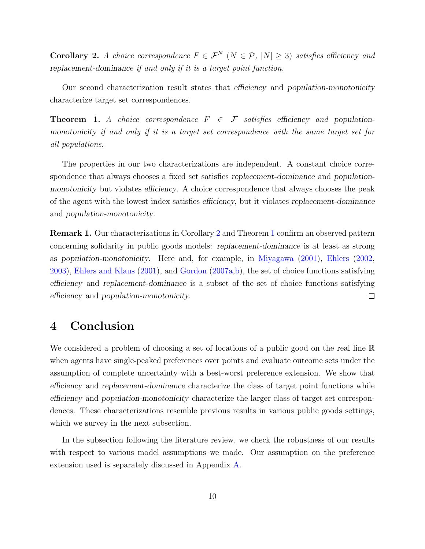Corollary 2. A choice correspondence  $F \in \mathcal{F}^N$   $(N \in \mathcal{P}, |N| \geq 3)$  satisfies efficiency and replacement-dominance if and only if it is a target point function.

Our second characterization result states that efficiency and population-monotonicity characterize target set correspondences.

<span id="page-9-0"></span>**Theorem 1.** A choice correspondence  $F \in \mathcal{F}$  satisfies efficiency and populationmonotonicity if and only if it is a target set correspondence with the same target set for all populations.

The properties in our two characterizations are independent. A constant choice correspondence that always chooses a fixed set satisfies replacement-dominance and populationmonotonicity but violates efficiency. A choice correspondence that always chooses the peak of the agent with the lowest index satisfies efficiency, but it violates replacement-dominance and population-monotonicity.

Remark 1. Our characterizations in Corollary [2](#page-8-0) and Theorem [1](#page-9-0) confirm an observed pattern concerning solidarity in public goods models: replacement-dominance is at least as strong as population-monotonicity. Here and, for example, in [Miyagawa](#page-30-4) [\(2001\)](#page-30-4), [Ehlers](#page-29-5) [\(2002,](#page-29-5) [2003\)](#page-29-6), [Ehlers and Klaus](#page-30-2) [\(2001\)](#page-30-2), and [Gordon](#page-30-5) [\(2007a,](#page-30-5)[b\)](#page-30-6), the set of choice functions satisfying efficiency and replacement-dominance is a subset of the set of choice functions satisfying efficiency and population-monotonicity.  $\Box$ 

# <span id="page-9-1"></span>4 Conclusion

We considered a problem of choosing a set of locations of a public good on the real line R when agents have single-peaked preferences over points and evaluate outcome sets under the assumption of complete uncertainty with a best-worst preference extension. We show that efficiency and replacement-dominance characterize the class of target point functions while efficiency and population-monotonicity characterize the larger class of target set correspondences. These characterizations resemble previous results in various public goods settings, which we survey in the next subsection.

In the subsection following the literature review, we check the robustness of our results with respect to various model assumptions we made. Our assumption on the preference extension used is separately discussed in Appendix [A.](#page-13-0)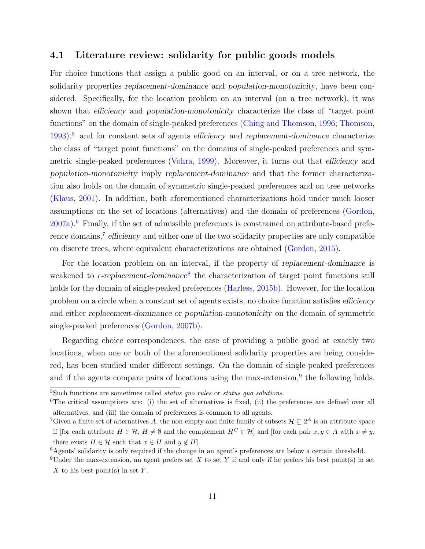### 4.1 Literature review: solidarity for public goods models

For choice functions that assign a public good on an interval, or on a tree network, the solidarity properties replacement-dominance and population-monotonicity, have been considered. Specifically, for the location problem on an interval (on a tree network), it was shown that efficiency and population-monotonicity characterize the class of "target point functions" on the domain of single-peaked preferences [\(Ching and Thomson,](#page-29-0) [1996;](#page-29-0) [Thomson,](#page-31-5)  $1993$ <sup>[5](#page-10-0)</sup> and for constant sets of agents efficiency and replacement-dominance characterize the class of "target point functions" on the domains of single-peaked preferences and symmetric single-peaked preferences [\(Vohra,](#page-31-0) [1999\)](#page-31-0). Moreover, it turns out that efficiency and population-monotonicity imply replacement-dominance and that the former characterization also holds on the domain of symmetric single-peaked preferences and on tree networks [\(Klaus,](#page-30-0) [2001\)](#page-30-0). In addition, both aforementioned characterizations hold under much looser assumptions on the set of locations (alternatives) and the domain of preferences [\(Gordon,](#page-30-5) [2007a\)](#page-30-5).[6](#page-10-1) Finally, if the set of admissible preferences is constrained on attribute-based prefe-rence domains,<sup>[7](#page-10-2)</sup> efficiency and either one of the two solidarity properties are only compatible on discrete trees, where equivalent characterizations are obtained [\(Gordon,](#page-30-7) [2015\)](#page-30-7).

For the location problem on an interval, if the property of replacement-dominance is weakened to  $\epsilon$ -replacement-dominance<sup>[8](#page-10-3)</sup> the characterization of target point functions still holds for the domain of single-peaked preferences [\(Harless,](#page-30-8) [2015b\)](#page-30-8). However, for the location problem on a circle when a constant set of agents exists, no choice function satisfies efficiency and either replacement-dominance or population-monotonicity on the domain of symmetric single-peaked preferences [\(Gordon,](#page-30-6) [2007b\)](#page-30-6).

Regarding choice correspondences, the case of providing a public good at exactly two locations, when one or both of the aforementioned solidarity properties are being considered, has been studied under different settings. On the domain of single-peaked preferences and if the agents compare pairs of locations using the max-extension,<sup>[9](#page-10-4)</sup> the following holds.

<span id="page-10-1"></span><span id="page-10-0"></span><sup>5</sup>Such functions are sometimes called status quo rules or status quo solutions.

<sup>&</sup>lt;sup>6</sup>The critical assumptions are: (i) the set of alternatives is fixed, (ii) the preferences are defined over all alternatives, and (iii) the domain of preferences is common to all agents.

<span id="page-10-2"></span><sup>&</sup>lt;sup>7</sup>Given a finite set of alternatives A, the non-empty and finite family of subsets  $\mathcal{H} \subseteq 2^A$  is an attribute space if [for each attribute  $H \in \mathcal{H}$ ,  $H \neq \emptyset$  and the complement  $H^C \in \mathcal{H}$ ] and [for each pair  $x, y \in A$  with  $x \neq y$ , there exists  $H \in \mathcal{H}$  such that  $x \in H$  and  $y \notin H$ .

<span id="page-10-4"></span><span id="page-10-3"></span><sup>8</sup>Agents' solidarity is only required if the change in an agent's preferences are below a certain threshold.

<sup>&</sup>lt;sup>9</sup>Under the max-extension, an agent prefers set X to set Y if and only if he prefers his best point(s) in set  $X$  to his best point(s) in set Y.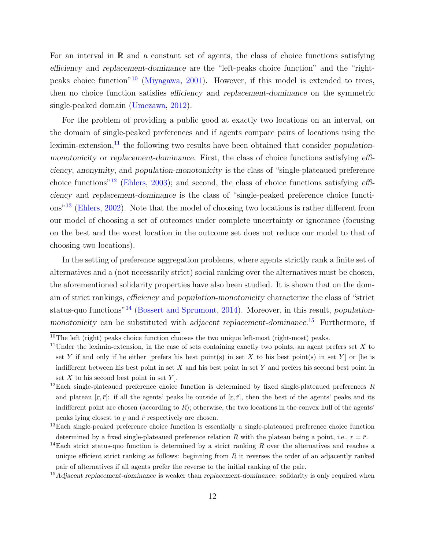For an interval in  $\mathbb R$  and a constant set of agents, the class of choice functions satisfying efficiency and replacement-dominance are the "left-peaks choice function" and the "rightpeaks choice function"[10](#page-11-0) [\(Miyagawa,](#page-30-4) [2001\)](#page-30-4). However, if this model is extended to trees, then no choice function satisfies efficiency and replacement-dominance on the symmetric single-peaked domain [\(Umezawa,](#page-31-6) [2012\)](#page-31-6).

For the problem of providing a public good at exactly two locations on an interval, on the domain of single-peaked preferences and if agents compare pairs of locations using the leximin-extension, $^{11}$  $^{11}$  $^{11}$  the following two results have been obtained that consider populationmonotonicity or replacement-dominance. First, the class of choice functions satisfying efficiency, anonymity, and population-monotonicity is the class of "single-plateaued preference choice functions"[12](#page-11-2) [\(Ehlers,](#page-29-6) [2003\)](#page-29-6); and second, the class of choice functions satisfying efficiency and replacement-dominance is the class of "single-peaked preference choice functions"[13](#page-11-3) [\(Ehlers,](#page-29-5) [2002\)](#page-29-5). Note that the model of choosing two locations is rather different from our model of choosing a set of outcomes under complete uncertainty or ignorance (focusing on the best and the worst location in the outcome set does not reduce our model to that of choosing two locations).

In the setting of preference aggregation problems, where agents strictly rank a finite set of alternatives and a (not necessarily strict) social ranking over the alternatives must be chosen, the aforementioned solidarity properties have also been studied. It is shown that on the domain of strict rankings, efficiency and population-monotonicity characterize the class of "strict status-quo functions<sup>"[14](#page-11-4)</sup> [\(Bossert and Sprumont,](#page-29-7) [2014\)](#page-29-7). Moreover, in this result, *population*-monotonicity can be substituted with adjacent replacement-dominance.<sup>[15](#page-11-5)</sup> Furthermore, if

<span id="page-11-0"></span> $10$ The left (right) peaks choice function chooses the two unique left-most (right-most) peaks.

<span id="page-11-1"></span><sup>&</sup>lt;sup>11</sup>Under the leximin-extension, in the case of sets containing exactly two points, an agent prefers set X to set Y if and only if he either [prefers his best point(s) in set X to his best point(s) in set Y ] or [he is indifferent between his best point in set  $X$  and his best point in set  $Y$  and prefers his second best point in set  $X$  to his second best point in set  $Y$ .

<span id="page-11-2"></span> $12$ Each single-plateaued preference choice function is determined by fixed single-plateaued preferences R and plateau  $[r, \bar{r}]$ : if all the agents' peaks lie outside of  $[r, \bar{r}]$ , then the best of the agents' peaks and its indifferent point are chosen (according to  $R$ ); otherwise, the two locations in the convex hull of the agents' peaks lying closest to  $\underline{r}$  and  $\overline{r}$  respectively are chosen.

<span id="page-11-3"></span><sup>&</sup>lt;sup>13</sup>Each single-peaked preference choice function is essentially a single-plateaued preference choice function  $\frac{13}{2}$ determined by a fixed single-plateaued preference relation R with the plateau being a point, i.e.,  $r = \bar{r}$ .

<span id="page-11-4"></span><sup>&</sup>lt;sup>14</sup>Each strict status-quo function is determined by a strict ranking R over the alternatives and reaches a unique efficient strict ranking as follows: beginning from  $R$  it reverses the order of an adjacently ranked pair of alternatives if all agents prefer the reverse to the initial ranking of the pair.

<span id="page-11-5"></span> $15$ Adjacent replacement-dominance is weaker than replacement-dominance: solidarity is only required when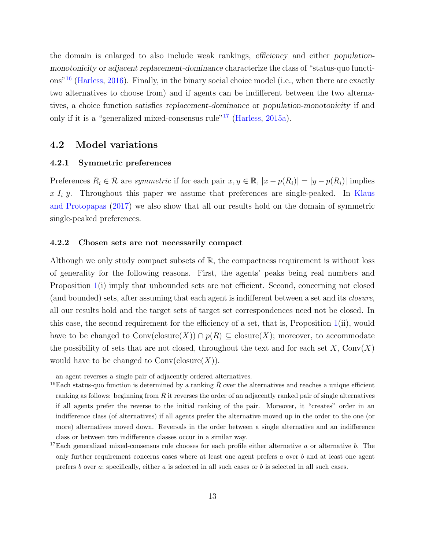the domain is enlarged to also include weak rankings, efficiency and either populationmonotonicity or adjacent replacement-dominance characterize the class of "status-quo functions"[16](#page-12-1) [\(Harless,](#page-30-9) [2016\)](#page-30-9). Finally, in the binary social choice model (i.e., when there are exactly two alternatives to choose from) and if agents can be indifferent between the two alternatives, a choice function satisfies replacement-dominance or population-monotonicity if and only if it is a "generalized mixed-consensus rule"[17](#page-12-2) [\(Harless,](#page-30-10) [2015a\)](#page-30-10).

### 4.2 Model variations

#### 4.2.1 Symmetric preferences

Preferences  $R_i \in \mathcal{R}$  are symmetric if for each pair  $x, y \in \mathbb{R}$ ,  $|x - p(R_i)| = |y - p(R_i)|$  implies  $x I_i y$ . Throughout this paper we assume that preferences are single-peaked. In [Klaus](#page-30-3) [and Protopapas](#page-30-3) [\(2017\)](#page-30-3) we also show that all our results hold on the domain of symmetric single-peaked preferences.

#### <span id="page-12-0"></span>4.2.2 Chosen sets are not necessarily compact

Although we only study compact subsets of  $\mathbb{R}$ , the compactness requirement is without loss of generality for the following reasons. First, the agents' peaks being real numbers and Proposition [1\(](#page-4-0)i) imply that unbounded sets are not efficient. Second, concerning not closed (and bounded) sets, after assuming that each agent is indifferent between a set and its *closure*, all our results hold and the target sets of target set correspondences need not be closed. In this case, the second requirement for the efficiency of a set, that is, Proposition [1\(](#page-4-0)ii), would have to be changed to  $Conv(\text{closure}(X)) \cap p(R) \subseteq \text{closure}(X)$ ; moreover, to accommodate the possibility of sets that are not closed, throughout the text and for each set  $X$ , Conv $(X)$ would have to be changed to  $Conv(\text{closure}(X))$ .

<span id="page-12-1"></span>an agent reverses a single pair of adjacently ordered alternatives.

<sup>&</sup>lt;sup>16</sup>Each status-quo function is determined by a ranking  $\bar{R}$  over the alternatives and reaches a unique efficient ranking as follows: beginning from  $\bar{R}$  it reverses the order of an adjacently ranked pair of single alternatives if all agents prefer the reverse to the initial ranking of the pair. Moreover, it "creates" order in an indifference class (of alternatives) if all agents prefer the alternative moved up in the order to the one (or more) alternatives moved down. Reversals in the order between a single alternative and an indifference class or between two indifference classes occur in a similar way.

<span id="page-12-2"></span><sup>&</sup>lt;sup>17</sup>Each generalized mixed-consensus rule chooses for each profile either alternative a or alternative b. The only further requirement concerns cases where at least one agent prefers  $a$  over  $b$  and at least one agent prefers b over a; specifically, either a is selected in all such cases or b is selected in all such cases.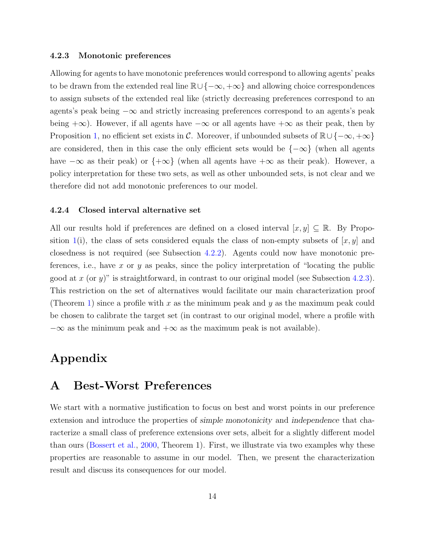#### <span id="page-13-1"></span>4.2.3 Monotonic preferences

Allowing for agents to have monotonic preferences would correspond to allowing agents' peaks to be drawn from the extended real line  $\mathbb{R}\cup\{-\infty, +\infty\}$  and allowing choice correspondences to assign subsets of the extended real like (strictly decreasing preferences correspond to an agents's peak being −∞ and strictly increasing preferences correspond to an agents's peak being  $+\infty$ ). However, if all agents have  $-\infty$  or all agents have  $+\infty$  as their peak, then by Proposition [1,](#page-4-0) no efficient set exists in C. Moreover, if unbounded subsets of  $\mathbb{R}\cup\{-\infty, +\infty\}$ are considered, then in this case the only efficient sets would be  $\{-\infty\}$  (when all agents have  $-\infty$  as their peak) or  $\{+\infty\}$  (when all agents have  $+\infty$  as their peak). However, a policy interpretation for these two sets, as well as other unbounded sets, is not clear and we therefore did not add monotonic preferences to our model.

#### 4.2.4 Closed interval alternative set

All our results hold if preferences are defined on a closed interval  $[x, y] \subseteq \mathbb{R}$ . By Propo-sition [1\(](#page-4-0)i), the class of sets considered equals the class of non-empty subsets of  $[x, y]$  and closedness is not required (see Subsection [4.2.2\)](#page-12-0). Agents could now have monotonic preferences, i.e., have x or y as peaks, since the policy interpretation of "locating the public good at x (or y)" is straightforward, in contrast to our original model (see Subsection [4.2.3\)](#page-13-1). This restriction on the set of alternatives would facilitate our main characterization proof (Theorem [1\)](#page-9-0) since a profile with x as the minimum peak and y as the maximum peak could be chosen to calibrate the target set (in contrast to our original model, where a profile with  $-\infty$  as the minimum peak and  $+\infty$  as the maximum peak is not available).

# Appendix

### <span id="page-13-0"></span>A Best-Worst Preferences

We start with a normative justification to focus on best and worst points in our preference extension and introduce the properties of simple monotonicity and independence that characterize a small class of preference extensions over sets, albeit for a slightly different model than ours [\(Bossert et al.,](#page-29-1) [2000,](#page-29-1) Theorem 1). First, we illustrate via two examples why these properties are reasonable to assume in our model. Then, we present the characterization result and discuss its consequences for our model.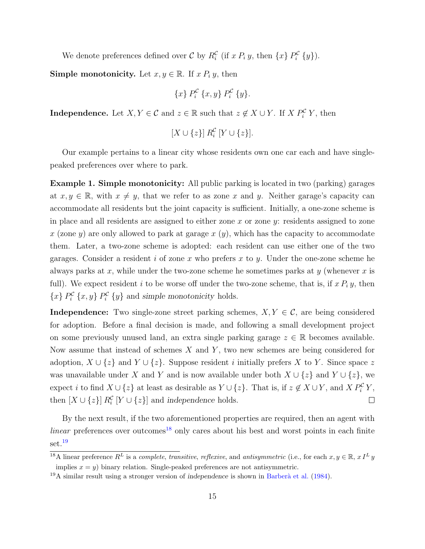We denote preferences defined over C by  $R_i^{\mathcal{C}}$  (if x  $P_i$  y, then  $\{x\} P_i^{\mathcal{C}} \{y\}$ ).

Simple monotonicity. Let  $x, y \in \mathbb{R}$ . If  $x P_i y$ , then

$$
\{x\} P_i^{\mathcal{C}} \{x, y\} P_i^{\mathcal{C}} \{y\}.
$$

**Independence.** Let  $X, Y \in \mathcal{C}$  and  $z \in \mathbb{R}$  such that  $z \notin X \cup Y$ . If  $X P_i^{\mathcal{C}} Y$ , then

$$
[X \cup \{z\}] \, R_i^{\mathcal{C}} \, [Y \cup \{z\}].
$$

Our example pertains to a linear city whose residents own one car each and have singlepeaked preferences over where to park.

Example 1. Simple monotonicity: All public parking is located in two (parking) garages at  $x, y \in \mathbb{R}$ , with  $x \neq y$ , that we refer to as zone x and y. Neither garage's capacity can accommodate all residents but the joint capacity is sufficient. Initially, a one-zone scheme is in place and all residents are assigned to either zone x or zone  $y$ : residents assigned to zone x (zone y) are only allowed to park at garage  $x(y)$ , which has the capacity to accommodate them. Later, a two-zone scheme is adopted: each resident can use either one of the two garages. Consider a resident i of zone x who prefers x to y. Under the one-zone scheme he always parks at x, while under the two-zone scheme he sometimes parks at  $y$  (whenever x is full). We expect resident i to be worse off under the two-zone scheme, that is, if  $x P_i y$ , then  ${x}$   $P_i^{\mathcal{C}}$   ${x, y}$   $P_i^{\mathcal{C}}$   ${y}$  and simple monotonicity holds.

**Independence:** Two single-zone street parking schemes,  $X, Y \in \mathcal{C}$ , are being considered for adoption. Before a final decision is made, and following a small development project on some previously unused land, an extra single parking garage  $z \in \mathbb{R}$  becomes available. Now assume that instead of schemes  $X$  and  $Y$ , two new schemes are being considered for adoption,  $X \cup \{z\}$  and  $Y \cup \{z\}$ . Suppose resident *i* initially prefers X to Y. Since space z was unavailable under X and Y and is now available under both  $X \cup \{z\}$  and  $Y \cup \{z\}$ , we expect i to find  $X \cup \{z\}$  at least as desirable as  $Y \cup \{z\}$ . That is, if  $z \notin X \cup Y$ , and  $X P_i^{\mathcal{C}} Y$ , then  $[X \cup \{z\}]$   $R_i^{\mathcal{C}}$   $[Y \cup \{z\}]$  and independence holds.  $\Box$ 

By the next result, if the two aforementioned properties are required, then an agent with *linear* preferences over outcomes<sup>[18](#page-14-0)</sup> only cares about his best and worst points in each finite set.<sup>[19](#page-14-1)</sup>

<span id="page-14-0"></span><sup>&</sup>lt;sup>18</sup>A linear preference  $R^L$  is a *complete, transitive, reflexive,* and *antisymmetric* (i.e., for each  $x, y \in \mathbb{R}$ ,  $x I^L y$ implies  $x = y$ ) binary relation. Single-peaked preferences are not antisymmetric.

<span id="page-14-1"></span> $19A$  similar result using a stronger version of independence is shown in Barberà et al. [\(1984\)](#page-29-8).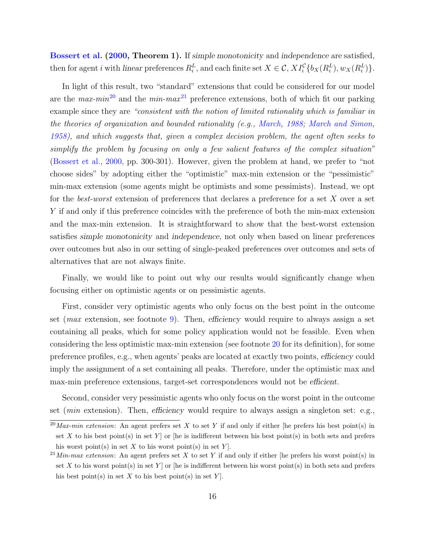[Bossert et al.](#page-29-1) [\(2000,](#page-29-1) Theorem 1). If simple monotonicity and independence are satisfied, then for agent *i* with linear preferences  $R_i^L$ , and each finite set  $X \in \mathcal{C}$ ,  $XI_i^{\mathcal{C}}\{b_X(R_i^L), w_X(R_i^L)\}.$ 

In light of this result, two "standard" extensions that could be considered for our model are the  $max-min^{20}$  $max-min^{20}$  $max-min^{20}$  and the  $min-max^{21}$  $min-max^{21}$  $min-max^{21}$  preference extensions, both of which fit our parking example since they are "consistent with the notion of limited rationality which is familiar in the theories of organization and bounded rationality (e.g., [March,](#page-30-11) [1988;](#page-30-11) [March and Simon,](#page-30-12) [1958\)](#page-30-12), and which suggests that, given a complex decision problem, the agent often seeks to simplify the problem by focusing on only a few salient features of the complex situation" [\(Bossert et al.,](#page-29-1) [2000,](#page-29-1) pp. 300-301). However, given the problem at hand, we prefer to "not choose sides" by adopting either the "optimistic" max-min extension or the "pessimistic" min-max extension (some agents might be optimists and some pessimists). Instead, we opt for the *best-worst* extension of preferences that declares a preference for a set X over a set Y if and only if this preference coincides with the preference of both the min-max extension and the max-min extension. It is straightforward to show that the best-worst extension satisfies simple monotonicity and independence, not only when based on linear preferences over outcomes but also in our setting of single-peaked preferences over outcomes and sets of alternatives that are not always finite.

Finally, we would like to point out why our results would significantly change when focusing either on optimistic agents or on pessimistic agents.

First, consider very optimistic agents who only focus on the best point in the outcome set (max extension, see footnote [9\)](#page-10-4). Then, efficiency would require to always assign a set containing all peaks, which for some policy application would not be feasible. Even when considering the less optimistic max-min extension (see footnote [20](#page-15-0) for its definition), for some preference profiles, e.g., when agents' peaks are located at exactly two points, efficiency could imply the assignment of a set containing all peaks. Therefore, under the optimistic max and max-min preference extensions, target-set correspondences would not be efficient.

Second, consider very pessimistic agents who only focus on the worst point in the outcome set (*min* extension). Then, efficiency would require to always assign a singleton set: e.g.,

<span id="page-15-0"></span> $\overline{^{20}Max-min\ extension}$ : An agent prefers set X to set Y if and only if either [he prefers his best point(s) in set X to his best point(s) in set Y  $\sigma$  [he is indifferent between his best point(s) in both sets and prefers his worst point(s) in set X to his worst point(s) in set Y.

<span id="page-15-1"></span><sup>&</sup>lt;sup>21</sup>Min-max extension: An agent prefers set X to set Y if and only if either [he prefers his worst point(s) in set X to his worst point(s) in set Y ] or [he is indifferent between his worst point(s) in both sets and prefers his best point(s) in set X to his best point(s) in set Y.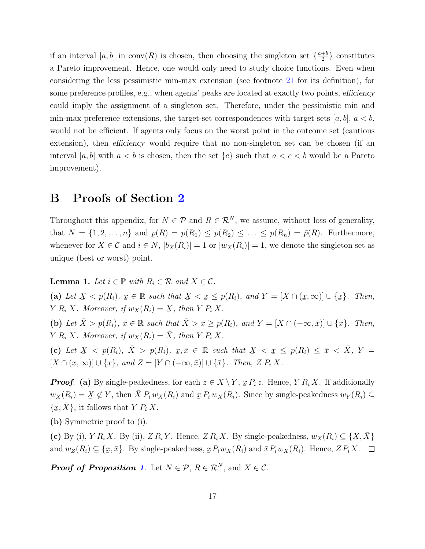if an interval [a, b] in conv(R) is chosen, then choosing the singleton set  $\{\frac{a+b}{2}\}$  $\frac{+b}{2}$  constitutes a Pareto improvement. Hence, one would only need to study choice functions. Even when considering the less pessimistic min-max extension (see footnote [21](#page-15-1) for its definition), for some preference profiles, e.g., when agents' peaks are located at exactly two points, efficiency could imply the assignment of a singleton set. Therefore, under the pessimistic min and min-max preference extensions, the target-set correspondences with target sets  $[a, b]$ ,  $a < b$ , would not be efficient. If agents only focus on the worst point in the outcome set (cautious extension), then *efficiency* would require that no non-singleton set can be chosen (if an interval [a, b] with  $a < b$  is chosen, then the set  $\{c\}$  such that  $a < c < b$  would be a Pareto improvement).

### B Proofs of Section [2](#page-3-0)

Throughout this appendix, for  $N \in \mathcal{P}$  and  $R \in \mathcal{R}^N$ , we assume, without loss of generality, that  $N = \{1, 2, \ldots, n\}$  and  $p(R) = p(R_1) \leq p(R_2) \leq \ldots \leq p(R_n) = \bar{p}(R)$ . Furthermore, whenever for  $X \in \mathcal{C}$  and  $i \in N$ ,  $|b_X(R_i)| = 1$  or  $|w_X(R_i)| = 1$ , we denote the singleton set as unique (best or worst) point.

<span id="page-16-0"></span>**Lemma 1.** Let  $i \in \mathbb{P}$  with  $R_i \in \mathcal{R}$  and  $X \in \mathcal{C}$ .

 $(a)$  Let  $\underline{X} < p(R_i), \underline{x}$  $x \in \mathbb{R}$  such that ب<br>أ  $X<$  $\underline{x} \leq p(R_i)$ , and  $Y = [X \cap (\underline{x})]$  $[x,\infty)]\cup\{x$  $\tilde{z}$  $x$ . Then,  $Y R_i X$ . Moreover, if  $w_X(R_i) = X$ , then  $Y P_i X$ .

(b) Let  $\bar{X} > p(R_i)$ ,  $\bar{x} \in \mathbb{R}$  such that  $\bar{X} > \bar{x} \geq p(R_i)$ , and  $Y = [X \cap (-\infty, \bar{x})] \cup {\bar{x}}$ . Then, Y  $R_i X$ . Moreover, if  $w_X(R_i) = \overline{X}$ , then Y  $P_i X$ .

(c) Let  $X \leq p(R_i)$ ,  $\overline{X} > p(R_i)$ ,  $x, \overline{x} \in \mathbb{R}$  such that  $X \leq x \leq p(R_i) \leq \overline{x} \leq \overline{X}$ ,  $Y =$  $\Delta$   $\rightarrow$   $P(\alpha_l)$ ,  $\Delta$   $\rightarrow$   $P(\alpha_l)$ ,  $\omega$ ,  $\omega$   $\sim$   $\Delta$  s such show  $\Delta$   $\rightarrow$   $\omega$  $[X \cap ($  $\tilde{z}$  $[x,\infty)]\cup\{x$  $x$ }, and  $Z = [Y \cap (-\infty, \bar{x})] \cup {\bar{x}}$ . Then,  $Z P_i X$ .

**Proof.** (a) By single-peakedness, for each  $z \in X \setminus Y$ ,  $x P_i z$ . Hence, Y  $R_i X$ . If additionally  $w_X(R_i) = \underline{X}$  $X \notin Y$ , then  $\overline{X} P_i w_X(R_i)$  and  $\underline{x} P_i w_X(R_i)$ . Since by single-peakedness  $w_Y(R_i) \subseteq$ {  $\underline{x}, \overline{X}$ , it follows that  $Y P_i X$ .

(b) Symmetric proof to (i).

(c) By (i),  $Y R_i X$ . By (ii),  $Z R_i Y$ . Hence,  $Z R_i X$ . By single-peakedness,  $w_X(R_i) \subseteq \{X \}$  $\overline{X}, \overline{X}$ and  $w_Z(R_i) \subseteq \{x\}$  $x, \bar{x}$ . By single-peakedness,  $\mathfrak{D}_i \mathfrak{D}_X(R_i)$  and  $\bar{\mathfrak{D}}_i \mathfrak{D}_X(R_i)$ . Hence,  $Z P_i X$ .

**Proof of Proposition [1](#page-4-0).** Let  $N \in \mathcal{P}$ ,  $R \in \mathcal{R}^N$ , and  $X \in \mathcal{C}$ .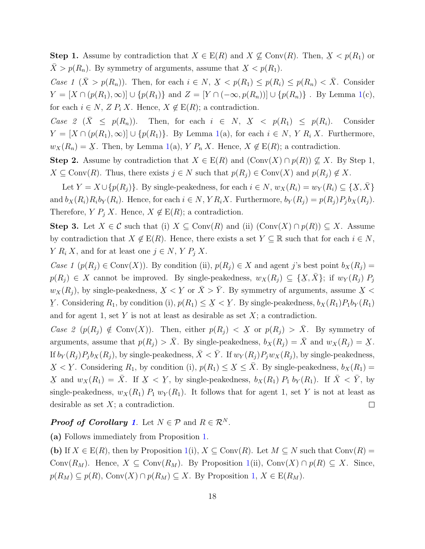**Step 1.** Assume by contradiction that  $X \in E(R)$  and  $X \nsubseteq Conv(R)$ . Then,  $X < p(R_1)$  or  $\bar{X} > p(R_n)$ . By symmetry of arguments, assume that  $X < p(R_1)$ .

Case 1  $(\bar{X} > p(R_n))$ . Then, for each  $i \in N$ ,  $\bar{X} < p(R_1) \le p(R_i) \le p(R_n) < \bar{X}$ . Consider  $Y = [X \cap (p(R_1), \infty)] \cup \{p(R_1)\}\$ and  $Z = [Y \cap (-\infty, p(R_n))] \cup \{p(R_n)\}\$ . By Lemma [1\(](#page-16-0)c), for each  $i \in N$ ,  $Z P_i X$ . Hence,  $X \notin E(R)$ ; a contradiction.

Case 2 ( $\bar{X} \leq p(R_n)$ ). Then, for each  $i \in N$ ,  $X < p(R_1) \leq p(R_i)$ . Consider  $Y = [X \cap (p(R_1), \infty)] \cup \{p(R_1)\}\$ . By Lemma [1\(](#page-16-0)a), for each  $i \in N$ , Y  $R_i X$ . Furthermore,  $w_X(R_n) = \underline{X}$ . Then, by Lemma [1\(](#page-16-0)a),  $Y P_n X$ . Hence,  $X \notin E(R)$ ; a contradiction.

Step 2. Assume by contradiction that  $X \in E(R)$  and  $(\text{Conv}(X) \cap p(R)) \nsubseteq X$ . By Step 1,  $X \subseteq \text{Conv}(R)$ . Thus, there exists  $j \in N$  such that  $p(R_i) \in \text{Conv}(X)$  and  $p(R_i) \notin X$ .

Let  $Y = X \cup \{p(R_j)\}\$ . By single-peakedness, for each  $i \in N$ ,  $w_X(R_i) = w_Y(R_i) \subseteq \{X, \bar{X}\}\$ ¯ and  $b_X(R_i)R_ib_Y(R_i)$ . Hence, for each  $i \in N$ ,  $YR_iX$ . Furthermore,  $b_Y(R_j) = p(R_j)P_jb_X(R_j)$ . Therefore,  $Y P_j X$ . Hence,  $X \notin E(R)$ ; a contradiction.

Step 3. Let  $X \in \mathcal{C}$  such that (i)  $X \subseteq \text{Conv}(R)$  and (ii)  $(\text{Conv}(X) \cap p(R)) \subseteq X$ . Assume by contradiction that  $X \notin E(R)$ . Hence, there exists a set  $Y \subseteq \mathbb{R}$  such that for each  $i \in N$ ,  $Y R_i X$ , and for at least one  $j \in N$ ,  $Y P_j X$ .

Case 1 ( $p(R_i) \in Conv(X)$ ). By condition (ii),  $p(R_i) \in X$  and agent j's best point  $b_X(R_i)$  =  $p(R_j) \in X$  cannot be improved. By single-peakedness,  $w_X(R_j) \subseteq {\{\underline{X}, \overline{X}\}}$ ; if  $w_Y(R_j) P_j$  $w_X(R_j)$ , by single-peakedness,  $\overline{X}$  $\underline{X}<$ ¯  $\underline{Y}$  or  $\overline{X} > \overline{Y}$ . By symmetry of arguments, assume ¯  $X<$ Y. Considering  $R_1$ , by condition (i),  $p(R_1) \leq \underline{X}$  $X<$ Y. By single-peakedness,  $b_X(R_1)P_1b_Y(R_1)$ and for agent 1, set Y is not at least as desirable as set  $X$ ; a contradiction.

Case 2  $(p(R_j) \notin Conv(X))$ . Then, either  $p(R_j) < X$  or  $p(R_j) > \overline{X}$ . By symmetry of arguments, assume that  $p(R_j) > \bar{X}$ . By single-peakedness,  $b_X(R_j) = \bar{X}$  and  $w_X(R_j) = \bar{X}$  $\underline{X}.$ If  $b_Y(R_j)P_jb_X(R_j)$ , by single-peakedness,  $\bar{X} < \bar{Y}$ . If  $w_Y(R_j)P_jw_X(R_j)$ , by single-peakedness, Y. Considering  $R_1$ , by condition (i),  $p(R_1) \le X \le \overline{X}$ . By single-peakedness,  $b_X(R_1) =$  $X<$ ¯  $X$  and  $w_X(R_1) = \overline{X}$ . If  $X$ Y, by single-peakedness,  $b_X(R_1)$   $P_1$   $b_Y(R_1)$ . If  $\overline{X} < \overline{Y}$ , by  $X <$ single-peakedness,  $w_X(R_1)$   $P_1$   $w_Y(R_1)$ . It follows that for agent 1, set Y is not at least as desirable as set  $X$ ; a contradiction.  $\Box$ 

### **Proof of Corollary [1](#page-5-0).** Let  $N \in \mathcal{P}$  and  $R \in \mathcal{R}^N$ .

(a) Follows immediately from Proposition [1.](#page-4-0)

(b) If  $X \in E(R)$ , then by Proposition [1\(](#page-4-0)i),  $X \subseteq Conv(R)$ . Let  $M \subseteq N$  such that  $Conv(R) =$ Conv $(R_M)$ . Hence,  $X \subseteq \text{Conv}(R_M)$ . By Proposition [1\(](#page-4-0)ii), Conv $(X) \cap p(R) \subseteq X$ . Since,  $p(R_M) \subseteq p(R)$ , Conv $(X) \cap p(R_M) \subseteq X$ . By Proposition [1,](#page-4-0)  $X \in E(R_M)$ .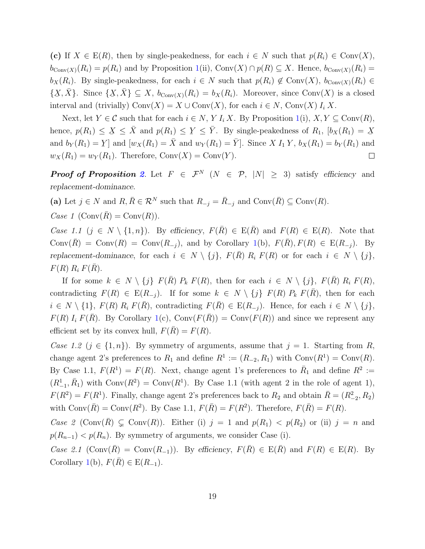(c) If  $X \in E(R)$ , then by single-peakedness, for each  $i \in N$  such that  $p(R_i) \in Conv(X)$ ,  $b_{Conv(X)}(R_i) = p(R_i)$  and by Proposition [1\(](#page-4-0)ii), Conv $(X) \cap p(R) \subseteq X$ . Hence,  $b_{Conv(X)}(R_i) =$  $b_X(R_i)$ . By single-peakedness, for each  $i \in N$  such that  $p(R_i) \notin Conv(X)$ ,  $b_{Conv(X)}(R_i) \in$ { ب<br>أ  $\{X,\bar{X}\}\$ . Since {  $\{X, \bar{X}\} \subseteq X$ ,  $b_{Conv(X)}(R_i) = b_X(R_i)$ . Moreover, since Conv $(X)$  is a closed interval and (trivially) Conv $(X) = X \cup \text{Conv}(X)$ , for each  $i \in N$ , Conv $(X) I_i X$ .

Next, let  $Y \in \mathcal{C}$  such that for each  $i \in N$ , Y  $I_i X$ . By Proposition [1\(](#page-4-0)i),  $X, Y \subseteq \text{Conv}(R)$ , hence,  $p(R_1) \leq X \leq \overline{X}$  and  $p(R_1) \leq Y \leq \overline{Y}$ . By single-peakedness of  $R_1$ ,  $[b_X(R_1) = X]$ ¯ ¯ ¯ and  $b_Y(R_1) = Y$  and  $[w_X(R_1) = \overline{X}$  and  $w_Y(R_1) = \overline{Y}$ . Since  $X I_1 Y$ ,  $b_X(R_1) = b_Y(R_1)$  and  $w_X(R_1) = w_Y(R_1)$ . Therefore,  $Conv(X) = Conv(Y)$ .  $\Box$ 

**Proof of Proposition [2](#page-6-1).** Let  $F \in \mathcal{F}^N$  ( $N \in \mathcal{P}$ ,  $|N| \geq 3$ ) satisfy efficiency and replacement-dominance.

(a) Let  $j \in N$  and  $R, \overline{R} \in \mathcal{R}^N$  such that  $R_{-j} = \overline{R}_{-j}$  and  $\text{Conv}(\overline{R}) \subseteq \text{Conv}(R)$ .

Case 1  $(\text{Conv}(\overline{R}) = \text{Conv}(R)).$ 

Case 1.1 (j ∈ N \ {1, n}). By efficiency,  $F(\overline{R}) \in E(\overline{R})$  and  $F(R) \in E(R)$ . Note that Conv $(\overline{R})$  = Conv $(R)$  = Conv $(R_{-i})$ , and by Corollary [1\(](#page-5-0)b),  $F(\overline{R})$ ,  $F(R) \in E(R_{-i})$ . By replacement-dominance, for each  $i \in N \setminus \{j\}$ ,  $F(\overline{R}) R_i F(R)$  or for each  $i \in N \setminus \{j\}$ ,  $F(R) R_i F(\overline{R}).$ 

If for some  $k \in N \setminus \{j\}$   $F(\overline{R})$   $P_k$   $F(R)$ , then for each  $i \in N \setminus \{j\}$ ,  $F(\overline{R})$   $R_i$   $F(R)$ , contradicting  $F(R) \in E(R_{-j})$ . If for some  $k \in N \setminus \{j\}$   $F(R)$   $P_k$   $F(\overline{R})$ , then for each  $i \in N \setminus \{1\}, F(R) \; R_i \; F(\bar{R}),$  contradicting  $F(\bar{R}) \in E(R_{-i}).$  Hence, for each  $i \in N \setminus \{j\},$  $F(R) I_i F(\overline{R})$ . By Corollary [1\(](#page-5-0)c), Conv $(F(\overline{R})) = \text{Conv}(F(R))$  and since we represent any efficient set by its convex hull,  $F(\overline{R}) = F(R)$ .

Case 1.2 ( $j \in \{1, n\}$ ). By symmetry of arguments, assume that  $j = 1$ . Starting from R, change agent 2's preferences to  $R_1$  and define  $R^1 := (R_{-2}, R_1)$  with  $Conv(R^1) = Conv(R)$ . By Case 1.1,  $F(R^1) = F(R)$ . Next, change agent 1's preferences to  $\bar{R}_1$  and define  $R^2 :=$  $(R_{-1}^1, \bar{R}_1)$  with  $Conv(R^2) = Conv(R^1)$ . By Case 1.1 (with agent 2 in the role of agent 1),  $F(R^2) = F(R^1)$ . Finally, change agent 2's preferences back to  $R_2$  and obtain  $\bar{R} = (R_{-2}^2, R_2)$ with  $\text{Conv}(\overline{R}) = \text{Conv}(R^2)$ . By Case 1.1,  $F(\overline{R}) = F(R^2)$ . Therefore,  $F(\overline{R}) = F(R)$ .

Case 2 (Conv $(\overline{R}) \subsetneq$  Conv $(R)$ ). Either (i)  $j = 1$  and  $p(R_1) < p(R_2)$  or (ii)  $j = n$  and  $p(R_{n-1}) < p(R_n)$ . By symmetry of arguments, we consider Case (i).

Case 2.1 (Conv $(\overline{R})$  = Conv $(R_{-1})$ ). By efficiency,  $F(\overline{R}) \in E(\overline{R})$  and  $F(R) \in E(R)$ . By Corollary [1\(](#page-5-0)b),  $F(\overline{R}) \in E(R_{-1}).$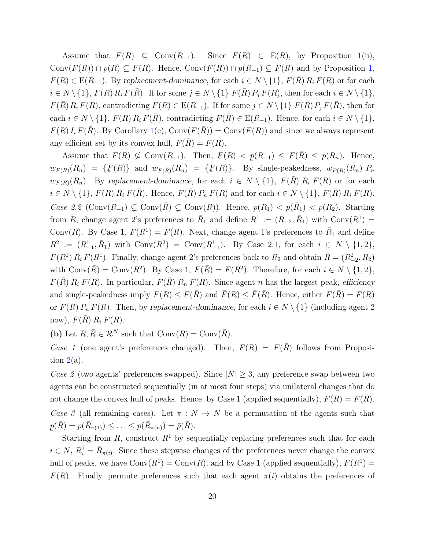Assume that  $F(R) \subseteq \text{Conv}(R_{-1})$ . Since  $F(R) \in E(R)$ , by Proposition [1\(](#page-4-0)ii), Conv $(F(R)) \cap p(R) \subseteq F(R)$ . Hence, Conv $(F(R)) \cap p(R_{-1}) \subseteq F(R)$  and by Proposition [1,](#page-4-0)  $F(R) \in E(R_{-1})$ . By replacement-dominance, for each  $i \in N \setminus \{1\}$ ,  $F(\overline{R}) R_i F(R)$  or for each  $i \in N \setminus \{1\}$ ,  $F(R) R_i F(\overline{R})$ . If for some  $j \in N \setminus \{1\}$   $F(\overline{R}) P_j F(R)$ , then for each  $i \in N \setminus \{1\}$ ,  $F(\overline{R})R_iF(R)$ , contradicting  $F(R) \in E(R_{-1})$ . If for some  $j \in N \setminus \{1\} F(R)P_jF(\overline{R})$ , then for each  $i \in N \setminus \{1\}$ ,  $F(R) R_i F(\overline{R})$ , contradicting  $F(\overline{R}) \in E(R_{-1})$ . Hence, for each  $i \in N \setminus \{1\}$ ,  $F(R) I_i F(\bar{R})$ . By Corollary [1\(](#page-5-0)c), Conv $(F(\bar{R})) = \text{Conv}(F(R))$  and since we always represent any efficient set by its convex hull,  $F(R) = F(R)$ .

Assume that  $F(R) \nsubseteq \text{Conv}(R_{-1})$ . Then,  $\overline{F}(R)$  $F(R) < p(R_{-1}) \leq F(\bar{R}) \leq p(R_n)$ . Hence,  $w_{F(R)}(R_n) = \{F(R)\}\$ and  $w_{F(\bar{R})}(R_n) = \{F(\bar{R})\}\$ . By single-peakedness,  $w_{F(\bar{R})}(R_n)$   $P_n$  $w_{F(R)}(R_n)$ . By replacement-dominance, for each  $i \in N \setminus \{1\}$ ,  $F(\overline{R}) R_i F(R)$  or for each  $i \in N \setminus \{1\}$ ,  $F(R)$   $R_i$   $F(\overline{R})$ . Hence,  $F(\overline{R})$   $P_n$   $F(R)$  and for each  $i \in N \setminus \{1\}$ ,  $F(\overline{R})$   $R_i$   $F(R)$ . Case 2.2 (Conv $(R_{-1})$  ⊊ Conv $(\overline{R})$  ⊊ Conv $(R)$ ). Hence,  $p(R_1) < p(R_1) < p(R_2)$ . Starting from R, change agent 2's preferences to  $\bar{R}_1$  and define  $R^1 := (R_{-2}, \bar{R}_1)$  with  $Conv(R^1) =$ Conv $(R)$ . By Case 1,  $F(R^1) = F(R)$ . Next, change agent 1's preferences to  $\overline{R}_1$  and define  $R^2 := (R^1_{-1}, \bar{R}_1)$  with  $Conv(R^2) = Conv(R^1_{-1})$ . By Case 2.1, for each  $i \in N \setminus \{1, 2\}$ ,  $F(R^2) R_i F(R^1)$ . Finally, change agent 2's preferences back to  $R_2$  and obtain  $\bar{R} = (R_{-2}^2, R_2)$ with  $\text{Conv}(\overline{R}) = \text{Conv}(R^2)$ . By Case 1,  $F(\overline{R}) = F(R^2)$ . Therefore, for each  $i \in N \setminus \{1, 2\}$ ,  $F(\overline{R})$   $R_i$   $F(R)$ . In particular,  $F(\overline{R})$   $R_n$   $F(R)$ . Since agent n has the largest peak, efficiency and single-peakedness imply ¯  $F(R) \leq$ ¯  $F(\overline{R})$  and  $\overline{F}(R) \leq \overline{F}(\overline{R})$ . Hence, either  $F(\overline{R}) = F(R)$ or  $F(\overline{R}) P_n F(R)$ . Then, by replacement-dominance, for each  $i \in N \setminus \{1\}$  (including agent 2) now),  $F(\overline{R}) R_i F(R)$ .

(b) Let  $R, \overline{R} \in \mathcal{R}^N$  such that  $Conv(R) = Conv(\overline{R})$ .

Case 1 (one agent's preferences changed). Then,  $F(R) = F(\overline{R})$  follows from Proposition  $2(a)$  $2(a)$ .

Case 2 (two agents' preferences swapped). Since  $|N| \geq 3$ , any preference swap between two agents can be constructed sequentially (in at most four steps) via unilateral changes that do not change the convex hull of peaks. Hence, by Case 1 (applied sequentially),  $F(R) = F(\overline{R})$ . Case 3 (all remaining cases). Let  $\pi : N \to N$  be a permutation of the agents such that  $p(\bar{R}) = p(\bar{R}_{\pi(1)}) \leq \ldots \leq p(\bar{R}_{\pi(n)}) = \bar{p}(\bar{R}).$ 

¯ Starting from R, construct  $R^1$  by sequentially replacing preferences such that for each  $i \in N$ ,  $R_i^1 = \overline{R}_{\pi(i)}$ . Since these stepwise changes of the preferences never change the convex hull of peaks, we have  $Conv(R^1) = Conv(R)$ , and by Case 1 (applied sequentially),  $F(R^1) =$  $F(R)$ . Finally, permute preferences such that each agent  $\pi(i)$  obtains the preferences of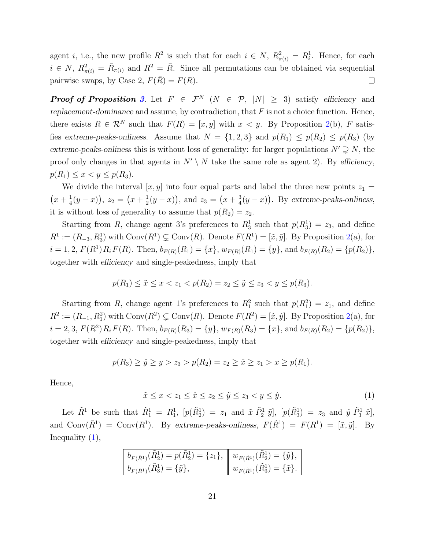agent *i*, i.e., the new profile  $R^2$  is such that for each  $i \in N$ ,  $R^2_{\pi(i)} = R^1_i$ . Hence, for each  $i \in N$ ,  $R_{\pi(i)}^2 = \bar{R}_{\pi(i)}$  and  $R^2 = \bar{R}$ . Since all permutations can be obtained via sequential pairwise swaps, by Case 2,  $F(\overline{R}) = F(R)$ .  $\Box$ 

**Proof of Proposition [3](#page-6-0).** Let  $F \in \mathcal{F}^N$  ( $N \in \mathcal{P}$ ,  $|N| \geq 3$ ) satisfy efficiency and replacement-dominance and assume, by contradiction, that  $F$  is not a choice function. Hence, there exists  $R \in \mathcal{R}^N$  such that  $F(R) = [x, y]$  with  $x < y$ . By Proposition [2\(](#page-6-1)b), F satisfies extreme-peaks-onliness. Assume that  $N = \{1, 2, 3\}$  and  $p(R_1) \leq p(R_2) \leq p(R_3)$  (by extreme-peaks-onliness this is without loss of generality: for larger populations  $N' \supsetneq N$ , the proof only changes in that agents in  $N' \setminus N$  take the same role as agent 2). By efficiency,  $p(R_1) \leq x < y \leq p(R_3)$ .

We divide the interval  $[x, y]$  into four equal parts and label the three new points  $z_1 =$  $\left(x+\frac{1}{4}\right)$  $(\frac{1}{4}(y-x)), z_2 = (x+\frac{1}{2})$  $(\frac{1}{2}(y-x))$ , and  $z_3 = (x+\frac{3}{4})$  $\frac{3}{4}(y-x)$ . By extreme-peaks-onliness, it is without loss of generality to assume that  $p(R_2) = z_2$ .

Starting from R, change agent 3's preferences to  $R_3^1$  such that  $p(R_3^1) = z_3$ , and define  $R^1 := (R_{-3}, R_3^1)$  with  $Conv(R^1) \subsetneq Conv(R)$ . Denote  $F(R^1) = [\tilde{x}, \tilde{y}]$ . By Proposition [2\(](#page-6-1)a), for  $i = 1, 2, F(R^1)R_iF(R)$ . Then,  $b_{F(R)}(R_1) = \{x\}, w_{F(R)}(R_1) = \{y\}$ , and  $b_{F(R)}(R_2) = \{p(R_2)\},$ together with efficiency and single-peakedness, imply that

$$
p(R_1) \le \tilde{x} \le x < z_1 < p(R_2) = z_2 \le \tilde{y} \le z_3 < y \le p(R_3).
$$

Starting from R, change agent 1's preferences to  $R_1^2$  such that  $p(R_1^2) = z_1$ , and define  $R^2 := (R_{-1}, R_1^2)$  with  $Conv(R^2) \subsetneq Conv(R)$ . Denote  $F(R^2) = [\hat{x}, \hat{y}]$ . By Proposition [2\(](#page-6-1)a), for  $i = 2, 3, F(R^2)R_iF(R)$ . Then,  $b_{F(R)}(R_3) = \{y\}, w_{F(R)}(R_3) = \{x\}, \text{ and } b_{F(R)}(R_2) = \{p(R_2)\},$ together with efficiency and single-peakedness, imply that

$$
p(R_3) \ge \hat{y} \ge y > z_3 > p(R_2) = z_2 \ge \hat{x} \ge z_1 > x \ge p(R_1).
$$

Hence,

<span id="page-20-0"></span> $\tilde{x} \leq x < z_1 \leq \hat{x} \leq z_2 \leq \tilde{y} \leq z_3 < y \leq \hat{y}.$ <br>
(1)

Let  $\tilde{R}^1$  be such that  $\tilde{R}^1_1 = R^1_1$ ,  $[p(\tilde{R}^1_2) = z_1$  and  $\tilde{x} \tilde{P}^1_2 \tilde{y}]$ ,  $[p(\tilde{R}^1_3) = z_3$  and  $\hat{y} \tilde{P}^1_3 \hat{x}]$ , and  $Conv(\tilde{R}^1) = Conv(R^1)$ . By extreme-peaks-onliness,  $F(\tilde{R}^1) = F(R^1) = [\tilde{x}, \tilde{y}]$ . By Inequality  $(1)$ ,

| $b_{F(\tilde{R}^{1})}(\tilde{R}_{2}^{1}) = p(\tilde{R}_{2}^{1}) = \{z_{1}\}, \; \  w_{F(\tilde{R}^{1})}(\tilde{R}_{2}^{1}) = \{\tilde{y}\},$ |                                                             |
|----------------------------------------------------------------------------------------------------------------------------------------------|-------------------------------------------------------------|
| $b_{F(\tilde{R}^{1})}(R_{3}^{1}) = \{\tilde{y}\},\$                                                                                          | $\parallel w_{F(\tilde{R}^{1})}(R_{3}^{1}) = {\tilde{x}}$ . |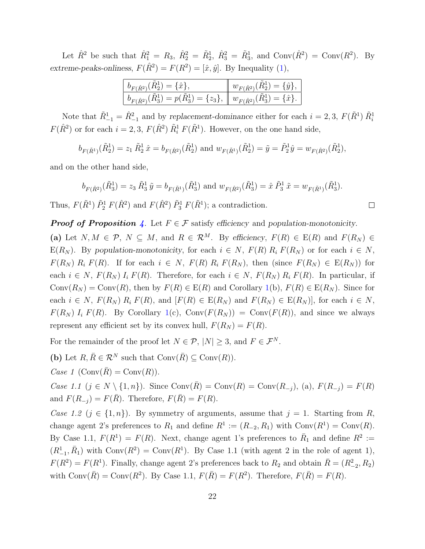Let  $\hat{R}^2$  be such that  $\hat{R}_1^2 = R_3$ ,  $\hat{R}_2^2 = \tilde{R}_2^1$ ,  $\hat{R}_3^2 = \tilde{R}_3^1$ , and  $Conv(\hat{R}^2) = Conv(R^2)$ . By extreme-peaks-onliness,  $F(\hat{R}^2) = F(R^2) = [\hat{x}, \hat{y}]$ . By Inequality [\(1\)](#page-20-0),

| ${}^{\perp}b_{F(\hat{R}^2)}(\tilde{R}_2^1) = \{\hat{x}\},\$                                                      | $w_{F(\hat{R}^2)}(\hat{R}_2^1) = \{\hat{y}\},\$ |
|------------------------------------------------------------------------------------------------------------------|-------------------------------------------------|
| $b_{F(\hat{R}^2)}(\tilde{R}_3^1) = p(\tilde{R}_3^1) = \{z_3\}, \ w_{F(\hat{R}^2)}(\tilde{R}_3^1) = \{\hat{x}\}.$ |                                                 |

Note that  $\tilde{R}_{-1}^1 = \hat{R}_{-1}^2$  and by replacement-dominance either for each  $i = 2, 3$ ,  $F(\tilde{R}^1) \tilde{R}_i^1$  $F(\hat{R}^2)$  or for each  $i = 2, 3, F(\hat{R}^2) \tilde{R}_i^1 F(\tilde{R}^1)$ . However, on the one hand side,

 $b_{F(\tilde{R}^{1})}(\tilde{R}^{1}_{2}) = z_{1} \tilde{R}^{1}_{2} \hat{x} = b_{F(\hat{R}^{2})}(\tilde{R}^{1}_{2})$  and  $w_{F(\tilde{R}^{1})}(\tilde{R}^{1}_{2}) = \tilde{y} = \tilde{P}_{2}^{1} \hat{y} = w_{F(\hat{R}^{2})}(\tilde{R}^{1}_{2}),$ 

and on the other hand side,

$$
b_{F(\hat{R}^2)}(\tilde{R}_3^1) = z_3 \tilde{R}_3^1 \tilde{y} = b_{F(\tilde{R}^1)}(\tilde{R}_3^1)
$$
 and  $w_{F(\hat{R}^2)}(\tilde{R}_3^1) = \hat{x} \tilde{P}_3^1 \tilde{x} = w_{F(\tilde{R}^1)}(\tilde{R}_3^1).$ 

Thus,  $F(\tilde{R}^1)$   $\tilde{P}_2^1$   $F(\hat{R}^2)$  and  $F(\hat{R}^2)$   $\tilde{P}_3^1$   $F(\tilde{R}^1)$ ; a contradiction.

**Proof of Proposition [4](#page-7-0).** Let  $F \in \mathcal{F}$  satisfy efficiency and population-monotonicity. (a) Let  $N, M \in \mathcal{P}, N \subseteq M$ , and  $R \in \mathcal{R}^M$ . By efficiency,  $F(R) \in E(R)$  and  $F(R_N) \in$ E(R<sub>N</sub>). By population-monotonicity, for each  $i \in N$ ,  $F(R)$  R<sub>i</sub>  $F(R_N)$  or for each  $i \in N$ ,  $F(R_N) R_i F(R)$ . If for each  $i \in N$ ,  $F(R) R_i F(R_N)$ , then (since  $F(R_N) \in E(R_N)$ ) for each  $i \in N$ ,  $F(R_N) I_i F(R)$ . Therefore, for each  $i \in N$ ,  $F(R_N) R_i F(R)$ . In particular, if  $Conv(R_N) = Conv(R)$ , then by  $F(R) \in E(R)$  and Corollary [1\(](#page-5-0)b),  $F(R) \in E(R_N)$ . Since for each  $i \in N$ ,  $F(R_N)$   $R_i$   $F(R)$ , and  $[F(R) \in E(R_N)]$  and  $F(R_N) \in E(R_N)]$ , for each  $i \in N$ ,  $F(R_N) I_i F(R)$ . By Corollary [1\(](#page-5-0)c), Conv $(F(R_N)) = \text{Conv}(F(R))$ , and since we always represent any efficient set by its convex hull,  $F(R_N) = F(R)$ .

For the remainder of the proof let  $N \in \mathcal{P}$ ,  $|N| \geq 3$ , and  $F \in \mathcal{F}^N$ .

(b) Let  $R, \overline{R} \in \mathcal{R}^N$  such that  $Conv(\overline{R}) \subseteq Conv(R)$ .

Case 1  $(\text{Conv}(\overline{R}) = \text{Conv}(R)).$ 

*Case 1.1* (*j* ∈ *N* \ {1, *n*}). Since Conv( $\bar{R}$ ) = Conv( $R$ ) = Conv( $R_{-j}$ ), (a),  $F(R_{-j}) = F(R)$ and  $F(R_{-j}) = F(\overline{R})$ . Therefore,  $F(\overline{R}) = F(R)$ .

Case 1.2 ( $j \in \{1, n\}$ ). By symmetry of arguments, assume that  $j = 1$ . Starting from R, change agent 2's preferences to  $R_1$  and define  $R^1 := (R_{-2}, R_1)$  with  $Conv(R^1) = Conv(R)$ . By Case 1.1,  $F(R^1) = F(R)$ . Next, change agent 1's preferences to  $\bar{R}_1$  and define  $R^2 :=$  $(R_{-1}^1, \bar{R}_1)$  with  $Conv(R^2) = Conv(R^1)$ . By Case 1.1 (with agent 2 in the role of agent 1),  $F(R^2) = F(R^1)$ . Finally, change agent 2's preferences back to  $R_2$  and obtain  $\bar{R} = (R_{-2}^2, R_2)$ with  $\text{Conv}(\overline{R}) = \text{Conv}(R^2)$ . By Case 1.1,  $F(\overline{R}) = F(R^2)$ . Therefore,  $F(\overline{R}) = F(R)$ .

 $\Box$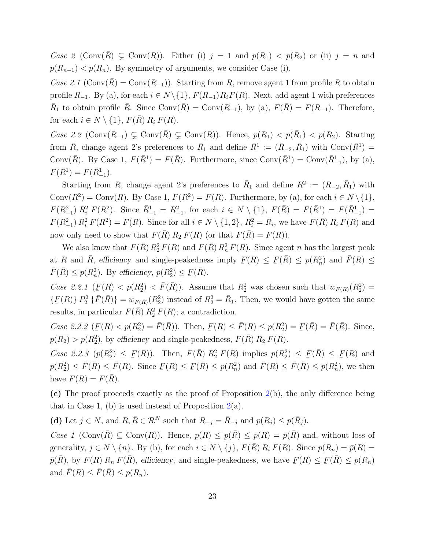Case 2 (Conv $(R) \subsetneq$  Conv $(R)$ ). Either (i)  $j = 1$  and  $p(R_1) < p(R_2)$  or (ii)  $j = n$  and  $p(R_{n-1}) < p(R_n)$ . By symmetry of arguments, we consider Case (i).

Case 2.1 (Conv $(\overline{R})$  = Conv $(R_{-1})$ ). Starting from R, remove agent 1 from profile R to obtain profile  $R_{-1}$ . By (a), for each  $i \in N \setminus \{1\}$ ,  $F(R_{-1})R_iF(R)$ . Next, add agent 1 with preferences  $\bar{R}_1$  to obtain profile  $\bar{R}$ . Since Conv $(\bar{R})$  = Conv $(R_{-1})$ , by (a),  $F(\bar{R}) = F(R_{-1})$ . Therefore, for each  $i \in N \setminus \{1\}$ ,  $F(\overline{R}) R_i F(R)$ .

Case 2.2 (Conv $(R_{-1})$  ⊊ Conv $(\overline{R})$  ⊊ Conv $(R)$ ). Hence,  $p(R_1) < p(R_1) < p(R_2)$ . Starting from  $\bar{R}$ , change agent 2's preferences to  $\bar{R}_1$  and define  $\bar{R}^1 := (\bar{R}_{-2}, \bar{R}_1)$  with  $Conv(\bar{R}^1) =$ Conv $(\bar{R})$ . By Case 1,  $F(\bar{R}^1) = F(\bar{R})$ . Furthermore, since Conv $(\bar{R}^1) = \text{Conv}(\bar{R}^1_{-1})$ , by (a),  $F(\bar{R}^1) = F(\bar{R}^1_{-1}).$ 

Starting from R, change agent 2's preferences to  $\bar{R}_1$  and define  $R^2 := (R_{-2}, \bar{R}_1)$  with Conv $(R^2)$  = Conv $(R)$ . By Case 1,  $F(R^2) = F(R)$ . Furthermore, by (a), for each  $i \in N \setminus \{1\}$ ,  $F(R_{-1}^2) R_i^2 F(R^2)$ . Since  $\bar{R}_{-1}^1 = R_{-1}^2$ , for each  $i \in N \setminus \{1\}$ ,  $F(\bar{R}) = F(\bar{R}^1) = F(\bar{R}_{-1}^1) =$  $F(R_{-1}^2) R_i^2 F(R^2) = F(R)$ . Since for all  $i \in N \setminus \{1, 2\}$ ,  $R_i^2 = R_i$ , we have  $F(\bar{R}) R_i F(R)$  and now only need to show that  $F(\overline{R}) R_2 F(R)$  (or that  $F(\overline{R}) = F(R)$ ).

We also know that  $F(\bar{R}) R_2^2 F(R)$  and  $F(\bar{R}) R_n^2 F(R)$ . Since agent n has the largest peak at R and  $\overline{R}$ , efficiency and single-peakedness imply ¯  $F(R) \leq$ ¯  $F(\bar{R}) \leq p(R_n^2)$  and  $\bar{F}(R) \leq$  $\overline{F}(\overline{R}) \leq p(R_n^2)$ . By efficiency,  $p(R_2^2) \leq$ ¯  $F(\bar{R})$ .

Case 2.2.1 ( ¯  $F(R) < p(R_2^2) < \bar{F}(\bar{R})$ . Assume that  $R_2^2$  was chosen such that  $w_{F(R)}(R_2^2)$  = { ¯  $F(R)$   $P_2^2$   $\{\bar{F}(\bar{R})\} = w_{F(\bar{R})}(R_2^2)$  instead of  $R_2^2 = \bar{R}_1$ . Then, we would have gotten the same results, in particular  $F(\bar{R}) R_2^2 F(R)$ ; a contradiction.

Case 2.2.2 ( ≐<br>⊶  $F(R) < p(R_2^2) = \bar{F}(\bar{R})$ ). Then, ¯  $F(R) \leq \bar{F}(R) \leq p(R_2^2) =$ ¯  $\underline{F}(\overline{R}) = \overline{F}(\overline{R})$ . Since,  $p(R_2) > p(R_2^2)$ , by efficiency and single-peakedness,  $F(\bar{R}) R_2 F(R)$ .

Case 2.2.3  $(p(R_2^2) \leq F(R))$ . Then,  $F(\bar{R}) R_2^2 F(R)$  implies  $p(R_2^2) \leq F(\bar{R}) \leq F(R)$  and  $\frac{1}{\sqrt{2}}$   $\frac{1}{\sqrt{2}}$   $\frac{1}{\sqrt{2}}$   $\frac{1}{\sqrt{2}}$   $\frac{1}{\sqrt{2}}$   $\frac{1}{\sqrt{2}}$   $\frac{1}{\sqrt{2}}$   $\frac{1}{\sqrt{2}}$   $\frac{1}{\sqrt{2}}$   $\frac{1}{\sqrt{2}}$   $\frac{1}{\sqrt{2}}$   $\frac{1}{\sqrt{2}}$   $\frac{1}{\sqrt{2}}$   $\frac{1}{\sqrt{2}}$   $\frac{1}{\sqrt{2}}$   $\frac{1}{\sqrt{2}}$   $\frac{1}{\sqrt{2}}$   $p(R_2^2) \leq \bar{F}(\bar{R}) \leq \bar{F}(R)$ . Since ¯  $F(R) \leq$ ¯  $\underline{F}(\overline{R}) \leq p(R_n^2)$  and  $\overline{F}(R) \leq \overline{F}(\overline{R}) \leq p(R_n^2)$ , we then have  $F(R) = F(\overline{R})$ .

(c) The proof proceeds exactly as the proof of Proposition [2\(](#page-6-1)b), the only difference being that in Case 1, (b) is used instead of Proposition  $2(a)$  $2(a)$ .

(d) Let  $j \in N$ , and  $R, \overline{R} \in \mathcal{R}^N$  such that  $R_{-j} = \overline{R}_{-j}$  and  $p(R_j) \leq p(\overline{R}_j)$ .

Case 1 (Conv $(\bar{R}) \subseteq \text{Conv}(R)$ ). Hence,  $p(R) \leq p(\bar{R}) \leq \bar{p}(R) = \bar{p}(\bar{R})$  and, without loss of generality,  $j \in N \setminus \{n\}$ . By (b), for each  $i \in N \setminus \{j\}$ ,  $F(\overline{R}) R_i F(R)$ . Since  $p(R_n) = \overline{p}(R)$  $\bar{p}(\bar{R})$ , by  $F(R) R_n F(\bar{R})$ , efficiency, and single-peakedness, we have  $\underline{F}$  $F(R) \leq$  $\underline{F}(\overline{R}) \leq p(R_n)$ and  $\overline{F}(R) \leq \overline{F}(\overline{R}) \leq p(R_n)$ .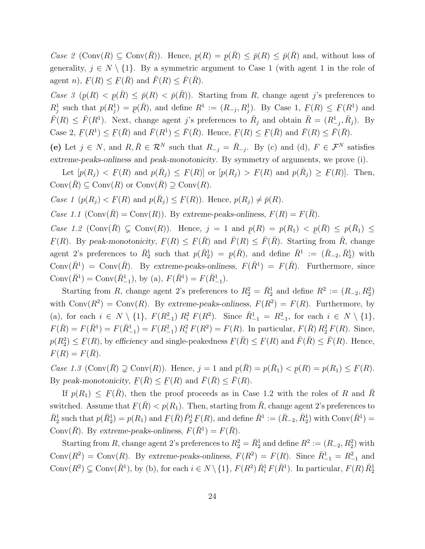Case 2 (Conv $(R) \subseteq \text{Conv}(\overline{R})$ ). Hence,  $p(R) = p(\overline{R}) \leq \overline{p}(R) \leq \overline{p}(\overline{R})$  and, without loss of generality,  $j \in N \setminus \{1\}$ . By a symmetric argument to Case 1 (with agent 1 in the role of agent  $n$ , ¯  $F(R) \leq$ ¯  $\underline{F}(\overline{R})$  and  $\overline{F}(R) \leq \overline{F}(\overline{R})$ .

Case 3  $(p(R) < p(\overline{R}) \le \overline{p}(R) < \overline{p}(\overline{R})$ . Starting from R, change agent j's preferences to  $R_j^1$  such that  $p(R_j^1) = p(\bar{R})$ , and define  $R^1 := (R_{-j}, R_j^1)$ . By Case 1,  $\overline{F}(R) \leq \overline{F}(R^1)$ . Next, change agent j's preferences to  $\overline{R}_j$  and obtain  $\overline{R} = (R^1_{-j}, \overline{R}_j)$ . By ¯  $F(R) \leq$ ¯  $F(R^1)$  and Case 2, ¯  $F(R^1) \leq$ ¯  $F(\bar{R})$  and  $\bar{F}(R^1) \leq \bar{F}(\bar{R})$ . Hence, ¯  $F(R) \leq$ ¯  $\underline{F}(\overline{R})$  and  $\overline{F}(R) \leq \overline{F}(\overline{R})$ .

(e) Let  $j \in N$ , and  $R, \overline{R} \in \mathcal{R}^N$  such that  $R_{-j} = \overline{R}_{-j}$ . By (c) and (d),  $F \in \mathcal{F}^N$  satisfies extreme-peaks-onliness and peak-monotonicity. By symmetry of arguments, we prove (i).

Let  $[p(R_j) < E]$  $F(R)$  and  $p(\bar{R}_j) \leq F(R)$ ] or  $[p(R_j) > F]$  $\underline{F}(R)$  and  $p(\overline{R}_j) \geq \underline{F}$  $F(R)$ . Then,  $Conv(\overline{R}) \subseteq Conv(R)$  or  $Conv(\overline{R}) \supseteq Conv(R)$ .

Case 1  $(p(R_j) < \underline{F})$  $\underline{F}(R)$  and  $p(\overline{R}_j) \leq \underline{F}(R)$ . Hence,  $p(R_j) \neq \overline{p}(R)$ .

Case 1.1 (Conv $(\overline{R})$  = Conv $(R)$ ). By extreme-peaks-onliness,  $F(R) = F(\overline{R})$ .

Case 1.2 (Conv $(\overline{R}) \subsetneq$  Conv $(R)$ ). Hence,  $j = 1$  and  $p(R) = p(R_1) < p(\overline{R}) \le p(\overline{R}_1) \le$  $F(R)$ . By peak-monotonicity,  $F(R) \leq F(\bar{R})$  and  $\bar{F}(R) \leq \bar{F}(\bar{R})$ . Starting from  $\bar{R}$ , change agent 2's preferences to  $\bar{R}_2^1$  such that  $p(\bar{R}_2^1) = p(\bar{R})$ , and define  $\bar{R}^1 := (\bar{R}_{-2}, \bar{R}_2^1)$  with  $\text{Conv}(\bar{R}^1) = \text{Conv}(\bar{R})$ . By extreme-peaks-onliness,  $F(\bar{R}^1) = F(\bar{R})$ . Furthermore, since Conv $(\bar{R}^1)$  = Conv $(\bar{R}^1_{-1})$ , by (a),  $F(\bar{R}^1) = F(\bar{R}^1_{-1})$ .

Starting from R, change agent 2's preferences to  $R_2^2 = \overline{R}_2^1$  and define  $R^2 := (R_{-2}, R_2^2)$ with  $Conv(R^2) = Conv(R)$ . By extreme-peaks-onliness,  $F(R^2) = F(R)$ . Furthermore, by (a), for each  $i \in N \setminus \{1\}$ ,  $F(R_{-1}^2) R_i^2 F(R^2)$ . Since  $\bar{R}_{-1}^1 = R_{-1}^2$ , for each  $i \in N \setminus \{1\}$ ,  $F(\bar{R}) = F(\bar{R}_{-1}^1) = F(R_{-1}^2) R_i^2 F(R^2) = F(R)$ . In particular,  $F(\bar{R}) R_2^2 F(R)$ . Since,  $p(R_2^2) \leq$ ¯  $F(R)$ , by efficiency and single-peakedness ¯  $F(\bar{R}) \leq$ ¯  $F(R)$  and  $\bar{F}(\bar{R}) \leq \bar{F}(R)$ . Hence,  $F(R) = F(R).$ 

*Case 1.3* (Conv $(\overline{R}) \supsetneq$  Conv $(R)$ ). Hence,  $j = 1$  and  $p(\overline{R}) = p(\overline{R}_1)$  < By peak-monotonicity,  $F(\overline{R}) \leq F(R)$  and  $\overline{F}(\overline{R}) \leq \overline{F}(\overline{R})$ ¯  $p(R) = p(R_1) \leq \underline{F}$  $F(R).$ ¯  $F(\bar{R}) \leq$ ¯  $\underline{F}(R)$  and  $\overline{F}(\overline{R}) \leq \overline{F}(R)$ .

If  $p(R_1) \leq F(\bar{R})$ , then the proof proceeds as in Case 1.2 with the roles of R and  $\bar{R}$ ¯ switched. Assume that  $F(\bar{R}) < p(R_1)$ . Then, starting from  $\bar{R}$ , change agent 2's preferences to  $\overline{R}_2^1$  such that  $p(\overline{R}_2^1) = p(R_1)$  and  $\overline{R}_2^1$  $F(\bar{R})\bar{P}_2^1$   $F$  $F(R)$ , and define  $\bar{R}^1 := (\bar{R}_{-2}, \bar{R}_2^1)$  with  $Conv(\bar{R}^1) =$ Conv $(\bar{R})$ . By extreme-peaks-onliness,  $F(\bar{R}^1) = F(\bar{R})$ .

Starting from R, change agent 2's preferences to  $R_2^2 = \overline{R}_2^1$  and define  $R^2 := (R_{-2}, R_2^2)$  with Conv $(R^2)$  = Conv $(R)$ . By extreme-peaks-onliness,  $F(R^2) = F(R)$ . Since  $\bar{R}_{-1}^1 = R_{-1}^2$  and Conv $(R^2) \subsetneq \text{Conv}(\bar{R}^1)$ , by (b), for each  $i \in N \setminus \{1\}$ ,  $F(R^2) \bar{R}_i^1 F(\bar{R}^1)$ . In particular,  $F(R) \bar{R}_2^1$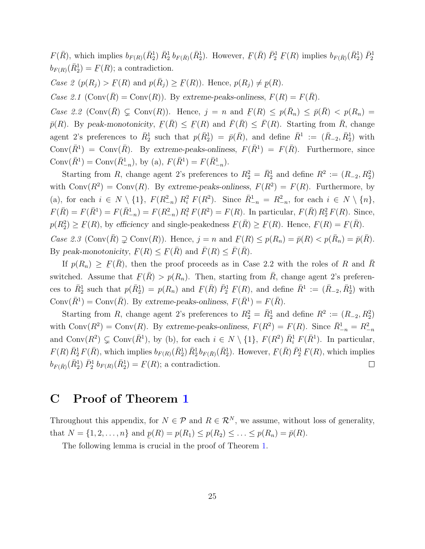$F(\bar{R})$ , which implies  $b_{F(R)}(\bar{R}_{2}^1) \bar{R}_{2}^1 b_{F(\bar{R})}(\bar{R}_{2}^1)$ . However, ¯  $F(\bar{R}) \bar{P}_2^1 F(R)$  implies  $b_{F(\bar{R})}(\bar{R}_2^1) \bar{P}_2^1$  $b_{F(R)}(\bar{R}^{1}_{2}) =$ ¯  $F(R)$ ; a contradiction.

Case 2  $(p(R_j) > E)$  $\underline{F}(R)$  and  $p(\overline{R}_j) \geq \underline{F}(R)$ . Hence,  $p(R_j) \neq \underline{p}(R)$ .

Case 2.1  $(\text{Conv}(\overline{R}) = \text{Conv}(R))$ . By extreme-peaks-onliness,  $F(R) = F(\overline{R})$ .

Case 2.2 (Conv $(\overline{R}) \subsetneq$  Conv $(R)$ ). Hence,  $j = n$  and  $F(R) \leq p(\overline{R}_n) \leq \overline{p}(\overline{R}) < p(R_n) =$ ¯  $\bar{p}(R)$ . By peak-monotonicity,  $F(\bar{R}) \leq F(R)$  and  $\bar{F}(\bar{R}) \leq \bar{F}(R)$ . Starting from  $\bar{R}$ , change agent 2's preferences to  $\bar{R}_2^1$  such that  $p(\bar{R}_2^1) = \bar{p}(\bar{R})$ , and define  $\bar{R}^1 := (\bar{R}_{-2}, \bar{R}_2^1)$  with Conv $(\bar{R}^1)$  = Conv $(\bar{R})$ . By extreme-peaks-onliness,  $F(\bar{R}^1) = F(\bar{R})$ . Furthermore, since Conv $(\bar{R}^1) = \text{Conv}(\bar{R}^1_{-n}), \text{ by (a)}, F(\bar{R}^1) = F(\bar{R}^1_{-n}).$ 

Starting from R, change agent 2's preferences to  $R_2^2 = \overline{R}_2^1$  and define  $R_2^2 := (R_{-2}, R_2^2)$ with  $Conv(R^2) = Conv(R)$ . By extreme-peaks-onliness,  $F(R^2) = F(R)$ . Furthermore, by (a), for each  $i \in N \setminus \{1\}$ ,  $F(R_{-n}^2) R_i^2 F(R^2)$ . Since  $\bar{R}_{-n}^1 = R_{-n}^2$ , for each  $i \in N \setminus \{n\}$ ,  $F(\bar{R}) = F(\bar{R}_{-n}^1) = F(R_{-n}^2) R_i^2 F(R^2) = F(R)$ . In particular,  $F(\bar{R}) R_2^2 F(R)$ . Since,  $p(R_2^2) \geq$ ¯  $F(R)$ , by efficiency and single-peakedness ¯  $F(\bar{R}) \geq$ ¯  $F(R)$ . Hence, ¯  $F(R) =$ ¯  $F(\bar{R})$ . Case 2.3 (Conv $(\overline{R}) \supsetneq$  Conv $(R)$ ). Hence,  $j = n$  and

 $F(R) \le p(R_n) = \bar{p}(R) < p(\bar{R}_n) = \bar{p}(\bar{R}).$ By peak-monotonicity, ¯  $F(R) \leq$ ¯  $\underline{F}(\overline{R})$  and  $\overline{F}(R) \leq \overline{F}(\overline{R})$ .

If  $p(R_n) \geq \underline{P}$  $F(\bar{R})$ , then the proof proceeds as in Case 2.2 with the roles of R and  $\bar{R}$ switched. Assume that  $F(\bar{R}) > p(R_n)$ . Then, starting from  $\bar{R}$ , change agent 2's preferences to  $\overline{R}_2^1$  such that  $p(\overline{R}_2^1) = p(R_n)$  and  $\underline{P}_1$  $F(\bar{R})$   $\bar{P}_2^1$   $F_1$  $F(R)$ , and define  $\bar{R}^1 := (\bar{R}_{-2}, \bar{R}_2^1)$  with Conv $(\bar{R}^1)$  = Conv $(\bar{R})$ . By extreme-peaks-onliness,  $F(\bar{R}^1) = F(\bar{R})$ .

Starting from R, change agent 2's preferences to  $R_2^2 = \overline{R}_2^1$  and define  $R^2 := (R_{-2}, R_2^2)$ with Conv $(R^2)$  = Conv $(R)$ . By extreme-peaks-onliness,  $F(R^2) = F(R)$ . Since  $\bar{R}^1_{-n} = R^2_{-n}$ and Conv $(R^2) \subsetneq \text{Conv}(\bar{R}^1)$ , by (b), for each  $i \in N \setminus \{1\}$ ,  $F(R^2) \bar{R}_i^1 F(\bar{R}^1)$ . In particular,  $F(R) \bar{R}_2^1 F(\bar{R})$ , which implies  $b_{F(R)}(\bar{R}_2^1) \bar{R}_2^1 b_{F(\bar{R})}(\bar{R}_2^1)$ . However,  $F(\bar{R})\,\bar{P}^1_2\,\bar{P}$  $F(R)$ , which implies ¯  $b_{F(\bar{R})}(\bar{R}^1_2) \, \bar{P}^1_2 \, b_{F(R)}(\bar{R}^1_2) =$  $\underline{F}(R)$ ; a contradiction.  $\Box$ ¯

# C Proof of Theorem [1](#page-9-0)

Throughout this appendix, for  $N \in \mathcal{P}$  and  $R \in \mathcal{R}^N$ , we assume, without loss of generality, that  $N = \{1, 2, ..., n\}$  and  $p(R) = p(R_1) \leq p(R_2) \leq ... \leq p(R_n) = \bar{p}(R)$ .

<span id="page-24-0"></span>The following lemma is crucial in the proof of Theorem [1.](#page-9-0)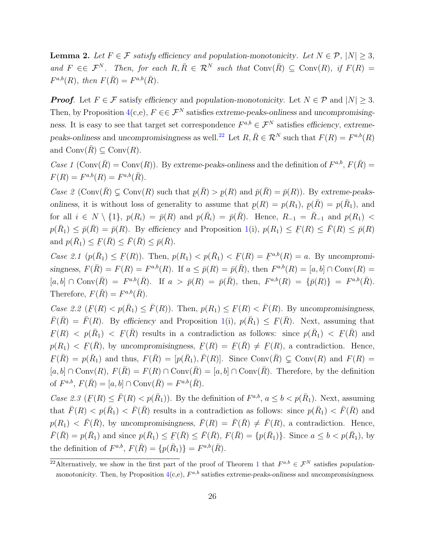**Lemma 2.** Let  $F \in \mathcal{F}$  satisfy efficiency and population-monotonicity. Let  $N \in \mathcal{P}$ ,  $|N| \geq 3$ , and  $F \in \mathcal{F}^N$ . Then, for each  $R, \overline{R} \in \mathcal{R}^N$  such that  $\text{Conv}(\overline{R}) \subseteq \text{Conv}(R)$ , if  $F(R) =$  $F^{a,b}(R)$ , then  $F(\bar{R}) = F^{a,b}(\bar{R})$ .

**Proof.** Let  $F \in \mathcal{F}$  satisfy efficiency and population-monotonicity. Let  $N \in \mathcal{P}$  and  $|N| > 3$ . Then, by Proposition [4\(](#page-7-0)c,e),  $F \in \mathcal{F}^N$  satisfies extreme-peaks-onliness and uncompromisingness. It is easy to see that target set correspondence  $F^{a,b} \in \mathcal{F}^N$  satisfies efficiency, extreme-peaks-onliness and uncompromisingness as well.<sup>[22](#page-25-0)</sup> Let  $R, \overline{R} \in \mathcal{R}^N$  such that  $F(R) = F^{a,b}(R)$ and  $Conv(R) \subseteq Conv(R)$ .

Case 1 (Conv $(\bar{R})$  = Conv $(R)$ ). By extreme-peaks-onliness and the definition of  $F^{a,b}$ ,  $F(\bar{R})$  =  $F(R) = F^{a,b}(R) = F^{a,b}(\bar{R}).$ 

Case 2 (Conv $(\overline{R}) \subsetneq \text{Conv}(R)$  such that  $p(\overline{R}) > p(R)$  and  $\overline{p}(\overline{R}) = \overline{p}(R)$ ). By extreme-peaksonliness, it is without loss of generality to assume that  $p(R) = p(R_1), p(\bar{R}) = p(\bar{R}_1)$ , and for all  $i \in N \setminus \{1\}$ ,  $p(R_i) = \overline{p}(R)$  and  $p(\overline{R}_i) = \overline{p}(\overline{R})$ . Hence,  $R_{-1} = \overline{R}_{-1}$  and  $p(R_1)$  $p(\bar{R}_1) \leq \bar{p}(\bar{R}) = \bar{p}(R)$ . By efficiency and Proposition [1\(](#page-4-0)i),  $p(R_1) \leq \bar{R}$  $F(R) \leq \overline{F}(R) \leq \overline{p}(R)$ and  $p(\bar{R}_1) \leq \underline{P}$  $\underline{F}(\overline{R}) \leq \overline{F}(\overline{R}) \leq \overline{p}(\overline{R}).$ 

*Case 2.1*  $(p(\bar{R}_1) \leq F(R))$ . Then,  $p(R_1) < p(\bar{R}_1) < F(R) = F^{a,b}(R) = a$ . By uncompromisingness,  $F(\overline{R}) = F(R) = F^{a,b}(R)$ . If  $a \leq \overline{p}(R) = \overline{p}(\overline{R})$ , then  $F^{a,b}(R) = [a, b] \cap \text{Conv}(R) =$  $[a, b] \cap \text{Conv}(\bar{R}) = F^{a,b}(\bar{R})$ . If  $a > \bar{p}(R) = \bar{p}(\bar{R})$ , then,  $F^{a,b}(R) = {\bar{p}(R)} = F^{a,b}(\bar{R})$ . Therefore,  $F(\bar{R}) = F^{a,b}(\bar{R})$ .

Case 2.2 ( ¯  $F(R) < p(\bar{R}_1) \leq \bar{F}(R)$ . Then,  $p(R_1) \leq \bar{F}(R)$  $\underline{F}(R) < \overline{F}(R)$ . By uncompromisingness,  $\overline{F}(\overline{R}) = \overline{F}(R)$ . By efficiency and Proposition [1\(](#page-4-0)i),  $p(\overline{R}_1) \leq \underline{F}$  $\underline{F}(\overline{R})$ . Next, assuming that ¯  $F(R) \le p(\bar{R}_1) \le F$  $F(\bar{R})$  results in a contradiction as follows: since  $p(\bar{R}_1) < \bar{R}_2$  $F(\bar{R})$  and  $p(R_1) < F(\overline{R})$ , by uncompromisingness,  $F(R) = F(\overline{R}) \neq F(R)$ , a contradiction. Hence,  $F(\overline{R}) = p(\overline{R}_1)$  and thus,  $F(\overline{R}) = [p(\overline{R}_1), \overline{F}(R)]$ . Since Conv $(\overline{R}) \subsetneq \text{Conv}(R)$  and  $F(R) =$  $[a, b] \cap Conv(R), F(\overline{R}) = F(R) \cap Conv(\overline{R}) = [a, b] \cap Conv(\overline{R}).$  Therefore, by the definition of  $F^{a,b}, F(\bar{R}) = [a, b] \cap Conv(\bar{R}) = F^{a,b}(\bar{R}).$ 

Case 2.3 ( $F(R) \leq \bar{F}(R) < p(\bar{R}_1)$ ). By the definition of  $F^{a,b}$ ,  $a \leq b < p(\bar{R}_1)$ . Next, assuming that  $\overline{F}(R) < p(\overline{R}_1) < \overline{F}(\overline{R})$  results in a contradiction as follows: since  $p(\overline{R}_1) < \overline{F}(\overline{R})$  and  $p(R_1) < \bar{F}(\bar{R})$ , by uncompromisingness,  $\bar{F}(R) = \bar{F}(\bar{R}) \neq \bar{F}(R)$ , a contradiction. Hence,  $\bar{F}(\bar{R}) = p(\bar{R}_1)$  and since  $p(\bar{R}_1) \leq F(\bar{R}) \leq \bar{F}(\bar{R}), F(\bar{R}) = \{p(\bar{R}_1)\}\.$  Since  $a \leq b < p(\bar{R}_1)$ , by ¯ the definition of  $F^{a,b}$ ,  $F(\bar{R}) = \{p(\bar{R}_1)\} = F^{a,b}(\bar{R})$ .

<span id="page-25-0"></span><sup>&</sup>lt;sup>22</sup>Alternatively, we show in the first part of the proof of Theorem [1](#page-9-0) that  $F^{a,b} \in \mathcal{F}^N$  satisfies populationmonotonicity. Then, by Proposition  $4(c,e)$  $4(c,e)$ ,  $F^{a,b}$  satisfies extreme-peaks-onliness and uncompromisingness.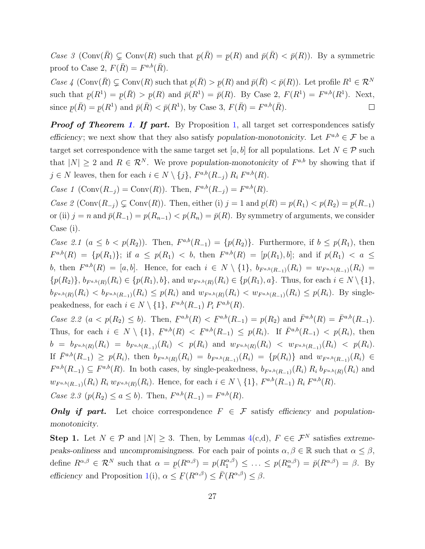Case 3 (Conv $(\overline{R}) \subsetneq \text{Conv}(R)$  such that ¯  $p(\bar{R}) =$  $\overline{a}$  $p(R)$  and  $\bar{p}(\bar{R}) < \bar{p}(R)$ . By a symmetric proof to Case 2,  $F(\bar{R}) = F^{a,b}(\bar{R})$ .

Case 4 (Conv $(\overline{R}) \subsetneq \text{Conv}(R)$  such that  $p(\overline{R}) > p(R)$  and  $\overline{p}(\overline{R}) < \overline{p}(R)$ ). Let profile  $R^1 \in \mathcal{R}^N$ such that  $p(R^1) = p(\bar{R}) > p(R)$  and  $\bar{p}(R^1) = \bar{p}(R)$ . By Case 2,  $F(R^1) = F^{a,b}(R^1)$ . Next, since  $p(\bar{R}) = p(R^1)$  and  $\bar{p}(\bar{R})$  $p(\bar{R}) =$  $p(R^1)$  and  $\bar{p}(\bar{R}) < \bar{p}(R^1)$ , by Case 3,  $F(\bar{R}) = F^{a,b}(\bar{R})$ .  $\Box$ **\_\_ \_\_** 

**Proof of Theorem [1](#page-9-0). If part.** By Proposition [1,](#page-4-0) all target set correspondences satisfy efficiency; we next show that they also satisfy population-monotonicity. Let  $F^{a,b} \in \mathcal{F}$  be a target set correspondence with the same target set [a, b] for all populations. Let  $N \in \mathcal{P}$  such that  $|N| \geq 2$  and  $R \in \mathcal{R}^N$ . We prove population-monotonicity of  $F^{a,b}$  by showing that if  $j \in N$  leaves, then for each  $i \in N \setminus \{j\}$ ,  $F^{a,b}(R_{-j}) R_i F^{a,b}(R)$ .

*Case 1* (Conv $(R_{-j}) = \text{Conv}(R)$ ). Then,  $F^{a,b}(R_{-j}) = F^{a,b}(R)$ .

Case 2 (Conv $(R_{-j}) \subsetneq \text{Conv}(R)$ ). Then, either (i)  $j = 1$  and  $p(R) = p(R_1) < p(R_2) = p(R_{-1})$ or (ii)  $j = n$  and  $\bar{p}(R_{-1}) = p(R_{n-1}) < p(R_n) = \bar{p}(R)$ . By symmetry of arguments, we consider Case (i).

Case 2.1  $(a \leq b \lt p(R_2))$ . Then,  $F^{a,b}(R_{-1}) = \{p(R_2)\}\$ . Furthermore, if  $b \leq p(R_1)$ , then  $F^{a,b}(R) = \{p(R_1)\};$  if  $a \leq p(R_1) < b$ , then  $F^{a,b}(R) = [p(R_1), b]$ ; and if  $p(R_1) < a \leq$ b, then  $F^{a,b}(R) = [a, b]$ . Hence, for each  $i \in N \setminus \{1\}$ ,  $b_{F^{a,b}(R_{-1})}(R_i) = w_{F^{a,b}(R_{-1})}(R_i)$  $\{p(R_2)\}, b_{F^{a,b}(R)}(R_i) \in \{p(R_1), b\}, \text{ and } w_{F^{a,b}(R)}(R_i) \in \{p(R_1), a\}.$  Thus, for each  $i \in N \setminus \{1\},$  $b_{F^{a,b}(R)}(R_i) < b_{F^{a,b}(R_{-1})}(R_i) \le p(R_i)$  and  $w_{F^{a,b}(R)}(R_i) < w_{F^{a,b}(R_{-1})}(R_i) \le p(R_i)$ . By singlepeakedness, for each  $i \in N \setminus \{1\}$ ,  $F^{a,b}(R_{-1})$   $P_i$   $F^{a,b}(R)$ .

Case 2.2  $(a < p(R_2) \le b)$ . Then,  $F^{a,b}(R) < F^{a,b}(R_{-1}) = p(R_2)$  and  $\bar{F}^{a,b}(R) = \bar{F}^{a,b}(R_{-1})$ .  $\sum_{i=1}^{n}$   $\binom{n}{i}$   $\leq$ Thus, for each  $i \in N \setminus \{1\}$ ,  $F^{a,b}(R) < F^{a,b}(R_{-1}) \leq p(R_i)$ . If  $\bar{F}^{a,b}(R_{-1}) < p(R_i)$ , then  $\frac{1}{2}$   $\left(\frac{1}{2}t\right)$   $\leq \frac{1}{2}$  $b\;=\;b_{F^{a,b}(R)}(R_i)\;=\;b_{F^{a,b}(R_{-1})}(R_i)\;<\;p(R_i)\;{\rm and}\; \,w_{F^{a,b}(R)}(R_i)\;<\;w_{F^{a,b}(R_{-1})}(R_i)\;<\;p(R_i).$ If  $\bar{F}^{a,b}(R_{-1}) \geq p(R_i)$ , then  $b_{F^{a,b}(R_i)}(R_i) = b_{F^{a,b}(R_{-1})}(R_i) = \{p(R_i)\}\$  and  $w_{F^{a,b}(R_{-1})}(R_i) \in$  $F^{a,b}(R_{-1}) \subseteq F^{a,b}(R)$ . In both cases, by single-peakedness,  $b_{F^{a,b}(R_{-1})}(R_i) R_i b_{F^{a,b}(R)}(R_i)$  and  $w_{F^{a,b}(R_{-1})}(R_i) R_i w_{F^{a,b}(R)}(R_i)$ . Hence, for each  $i \in N \setminus \{1\}$ ,  $F^{a,b}(R_{-1}) R_i F^{a,b}(R)$ . Case 2.3 ( $p(R_2) \le a \le b$ ). Then,  $F^{a,b}(R_{-1}) = F^{a,b}(R)$ .

**Only if part.** Let choice correspondence  $F \in \mathcal{F}$  satisfy efficiency and populationmonotonicity.

Step 1. Let  $N \in \mathcal{P}$  and  $|N| \geq 3$ . Then, by Lemmas [4\(](#page-7-0)c,d),  $F \in \mathcal{F}^N$  satisfies extremepeaks-onliness and uncompromisingness. For each pair of points  $\alpha, \beta \in \mathbb{R}$  such that  $\alpha \leq \beta$ , define  $R^{\alpha,\beta} \in \mathcal{R}^N$  such that  $\alpha = p(R^{\alpha,\beta}) = p(R_1^{\alpha,\beta})$ efficiency and Proposition [1\(](#page-4-0)i),  $\alpha \leq$  $p_1^{\alpha,\beta}$   $\leq \ldots \leq p(R_n^{\alpha,\beta}) = \bar{p}(R^{\alpha,\beta}) = \beta$ . By ¯  $\underline{F}(R^{\alpha,\beta}) \leq \overline{F}(R^{\alpha,\beta}) \leq \beta.$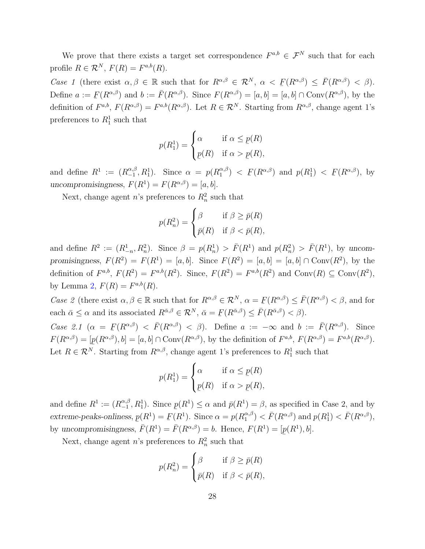We prove that there exists a target set correspondence  $F^{a,b} \in \mathcal{F}^N$  such that for each profile  $R \in \mathcal{R}^N$ ,  $F(R) = F^{a,b}(R)$ .

Case 1 (there exist  $\alpha, \beta \in \mathbb{R}$  such that for  $R^{\alpha,\beta} \in \mathcal{R}^N$ ,  $\alpha \langle F(R^{\alpha,\beta}) \rangle \leq \overline{F}(R^{\alpha,\beta}) \langle \beta \rangle$ . ¯ Define  $a := \overline{F}(R^{\alpha,\beta})$  and  $b := \overline{F}(R^{\alpha,\beta})$ . Since  $F(R^{\alpha,\beta}) = [a, b] = [a, b] \cap \text{Conv}(R^{\alpha,\beta})$ , by the ¯ definition of  $F^{a,b}, F(R^{\alpha,\beta}) = F^{a,b}(R^{\alpha,\beta}).$  Let  $R \in \mathcal{R}^N$ . Starting from  $R^{\alpha,\beta}$ , change agent 1's preferences to  $R_1^1$  such that

$$
p(R_1^1) = \begin{cases} \alpha & \text{if } \alpha \le p(R) \\ p(R) & \text{if } \alpha > p(R), \end{cases}
$$

and define  $R^1 := (R_{-1}^{\alpha,\beta})$  $\alpha, \beta, R_1^1$ ). Since  $\alpha = p(R_1^{\alpha, \beta})$  $\binom{\alpha,\beta}{1}$  < ¯  $F(R^{\alpha,\beta})$  and  $p(R_1^1)$  < ¯  $F(R^{\alpha,\beta}), \;$  by uncompromisingness,  $F(R^1) = F(R^{\alpha,\beta}) = [a, b].$ 

Next, change agent  $n$ 's preferences to  $R_n^2$  such that

$$
p(R_n^2) = \begin{cases} \beta & \text{if } \beta \ge \bar{p}(R) \\ \bar{p}(R) & \text{if } \beta < \bar{p}(R), \end{cases}
$$

and define  $R^2 := (R^1_{-n}, R^2_n)$ . Since  $\beta = p(R^1_n) > \bar{F}(R^1)$  and  $p(R^2_n) > \bar{F}(R^1)$ , by uncompromisingness,  $F(R^2) = F(R^1) = [a, b]$ . Since  $F(R^2) = [a, b] = [a, b] \cap Conv(R^2)$ , by the definition of  $F^{a,b}$ ,  $F(R^2) = F^{a,b}(R^2)$ . Since,  $F(R^2) = F^{a,b}(R^2)$  and  $Conv(R) \subseteq Conv(R^2)$ , by Lemma [2,](#page-24-0)  $F(R) = F^{a,b}(R)$ .

Case 2 (there exist  $\alpha, \beta \in \mathbb{R}$  such that for  $R^{\alpha,\beta} \in \mathcal{R}^N$ ,  $\alpha = F(R^{\alpha,\beta}) \leq \bar{F}(R^{\alpha,\beta}) < \beta$ , and for ¯ each  $\bar{\alpha} \leq \alpha$  and its associated  $R^{\bar{\alpha},\beta} \in \mathcal{R}^N$ ,  $\bar{\alpha} = \bar{F}(R^{\bar{\alpha},\beta}) \leq \bar{F}(R^{\bar{\alpha},\beta}) < \beta$ ). ¯

Case 2.1  $(\alpha = \underline{F}(R^{\alpha,\beta}) < \overline{F}(R^{\alpha,\beta}) < \beta)$ . Define  $\alpha := -\infty$  and  $b := \overline{F}(R^{\alpha,\beta})$ . Since  $\frac{1}{\alpha}$  $F(R^{\alpha,\beta}) = [p(R^{\alpha,\beta}), b] = [a, b] \cap \text{Conv}(R^{\alpha,\beta}),$  by the definition of  $F^{a,b}, F(R^{\alpha,\beta}) = F^{a,b}(R^{\alpha,\beta}).$ Let  $R \in \mathcal{R}^{N}$ . Starting from  $R^{\alpha,\beta}$ , change agent 1's preferences to  $R_1^1$  such that

$$
p(R_1^1) = \begin{cases} \alpha & \text{if } \alpha \le p(R) \\ p(R) & \text{if } \alpha > p(R), \end{cases}
$$

and define  $R^1 := (R_{-1}^{\alpha,\beta})$  $\mathcal{L}_{-1}^{\alpha,\beta}, R_1^1$ ). Since  $p(R^1) \leq \alpha$  and  $\bar{p}(R^1) = \beta$ , as specified in Case 2, and by extreme-peaks-onliness,  $p(R^1) = F(R^1)$ . Since  $\alpha = p(R_1^{\alpha,\beta})$ by uncompromisingness,  $\bar{F}(R^1) = \bar{F}(R^{\alpha,\beta}) = b$ . Hence,  $F(R^1) = [$  $\binom{\alpha,\beta}{1} < \bar{F}(R^{\alpha,\beta})$  and  $p(R_1^1) < \bar{F}(R^{\alpha,\beta}),$  $\overline{a}$  $p(R^1), b$ .

Next, change agent *n*'s preferences to  $R_n^2$  such that

$$
p(R_n^2) = \begin{cases} \beta & \text{if } \beta \ge \bar{p}(R) \\ \bar{p}(R) & \text{if } \beta < \bar{p}(R), \end{cases}
$$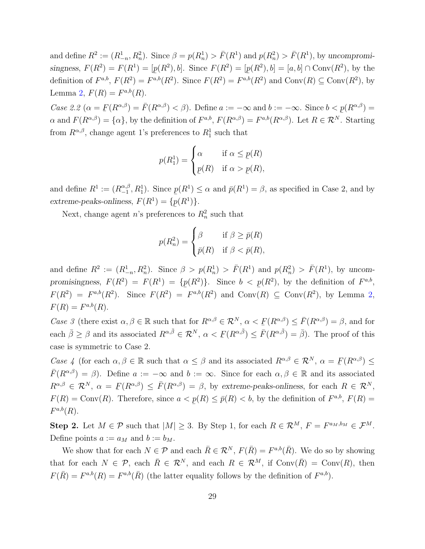and define  $R^2 := (R^1_{-n}, R^2_n)$ . Since  $\beta = p(R^1_n) > \overline{F}(R^1)$  and  $p(R^2_n) > \overline{F}(R^1)$ , by uncompromisingness,  $F(R^2) = F(R^1) = [p(R^2), b]$ . Since  $F(R^2) = [p(R^2), b] = [a, b] \cap Conv(R^2)$ , by the definition of  $F^{a,b}, F(R^2) = F^{a,b}(R^2)$ . Since  $F(R^2) = F^{a,b}(R^2)$  and  $\text{Conv}(R) \subseteq \text{Conv}(R^2)$ , by Lemma [2,](#page-24-0)  $F(R) = F^{a,b}(R)$ .

Case 2.2  $(\alpha = \overline{F}(R^{\alpha,\beta}) = \overline{F}(R^{\alpha,\beta}) < \beta$ . Define  $a := -\infty$  and  $b := -\infty$ . Since  $b < p(R^{\alpha,\beta}) =$  $\alpha$  and  $F(R^{\alpha,\beta}) = {\alpha}$ , by the definition of  $F^{a,b}$ ,  $F(R^{\alpha,\beta}) = F^{a,b}(R^{\alpha,\beta})$ . Let  $R \in \mathcal{R}^N$ . Starting from  $R^{\alpha,\beta}$ , change agent 1's preferences to  $R_1^1$  such that

$$
p(R_1^1) = \begin{cases} \alpha & \text{if } \alpha \le p(R) \\ p(R) & \text{if } \alpha > p(R), \end{cases}
$$

and define  $R^1 := (R_{-1}^{\alpha,\beta})$  $\mathcal{L}_{-1}^{\alpha,\beta}, R_1^1$ ). Since  $p(R^1) \leq \alpha$  and  $\bar{p}(R^1) = \beta$ , as specified in Case 2, and by extreme-peaks-onliness,  $F(R^1) = \{p(R^1)\}.$ 

Next, change agent *n*'s preferences to  $R_n^2$  such that

$$
p(R_n^2) = \begin{cases} \beta & \text{if } \beta \ge \bar{p}(R) \\ \bar{p}(R) & \text{if } \beta < \bar{p}(R), \end{cases}
$$

and define  $R^2 := (R^1_{-n}, R^2_n)$ . Since  $\beta > p(R^1_n) > \bar{F}(R^1)$  and  $p(R^2_n) > \bar{F}(R^1)$ , by uncompromisingness,  $F(R^2) = F(R^1) = \{p(R^2)\}\.$  Since  $b < p(R^2)$ , by the definition of  $F^{a,b}$ ,  $F(R^2) = F^{a,b}(R^2)$ . Since  $F(R^2) = F^{a,b}(R^2)$  and Conv $(R) \subseteq \text{Conv}(R^2)$ , by Lemma [2,](#page-24-0)  $F(R) = F^{a,b}(R).$ 

Case 3 (there exist  $\alpha, \beta \in \mathbb{R}$  such that for  $R^{\alpha,\beta} \in \mathcal{R}^N$ ,  $\alpha < F(R^{\alpha,\beta}) \leq \bar{F}(R^{\alpha,\beta}) = \beta$ , and for each  $\bar{\beta} \geq \beta$  and its associated  $R^{\alpha,\bar{\beta}} \in \mathcal{R}^N$ ,  $\alpha < \underline{F}(R^{\alpha,\bar{\beta}}) \leq \bar{F}$ ¯  $\underline{F}(R^{\alpha,\bar{\beta}}) \leq \overline{F}(R^{\alpha,\bar{\beta}}) = \overline{\beta}$ . The proof of this case is symmetric to Case 2.

Case 4 (for each  $\alpha, \beta \in \mathbb{R}$  such that  $\alpha \leq \beta$  and its associated  $R^{\alpha,\beta} \in \mathcal{R}^N$ ,  $\alpha = F(R^{\alpha,\beta}) \leq$  $\overline{F}(R^{\alpha,\beta}) = \beta$ ). Define  $a := -\infty$  and  $b := \infty$ . Since for each  $\alpha, \beta \in \mathbb{R}$  and its associated  $R^{\alpha,\beta} \in \mathcal{R}^N$ ,  $\alpha = \underline{F}(R^{\alpha,\beta}) \leq \overline{F}(R^{\alpha,\beta}) = \beta$ , by extreme-peaks-onliness, for each  $R \in \mathcal{R}^N$ , ¯  $F(R) = Conv(R)$ . Therefore, since  $a <$ ¯  $p(R) \leq \bar{p}(R) < b$ , by the definition of  $F^{a,b}$ ,  $F(R) =$  $F^{a,b}(R)$ .

Step 2. Let  $M \in \mathcal{P}$  such that  $|M| \geq 3$ . By Step 1, for each  $R \in \mathcal{R}^{M}$ ,  $F = F^{a_M, b_M} \in \mathcal{F}^{M}$ . Define points  $a := a_M$  and  $b := b_M$ .

We show that for each  $N \in \mathcal{P}$  and each  $\bar{R} \in \mathcal{R}^N$ ,  $F(\bar{R}) = F^{a,b}(\bar{R})$ . We do so by showing that for each  $N \in \mathcal{P}$ , each  $\bar{R} \in \mathcal{R}^N$ , and each  $R \in \mathcal{R}^M$ , if  $\text{Conv}(\bar{R}) = \text{Conv}(R)$ , then  $F(\bar{R}) = F^{a,b}(R) = F^{a,b}(\bar{R})$  (the latter equality follows by the definition of  $F^{a,b}$ ).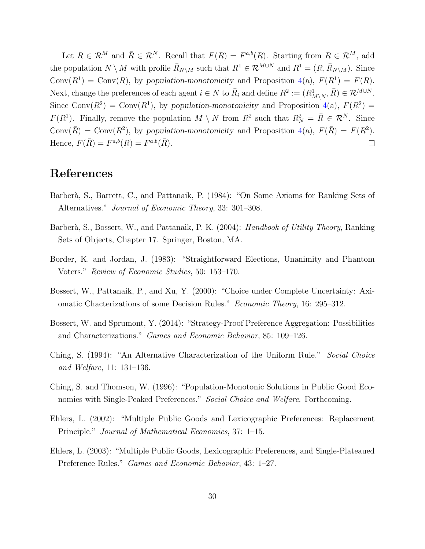Let  $R \in \mathcal{R}^M$  and  $\bar{R} \in \mathcal{R}^N$ . Recall that  $F(R) = F^{a,b}(R)$ . Starting from  $R \in \mathcal{R}^M$ , add the population  $N \setminus M$  with profile  $\bar{R}_{N\setminus M}$  such that  $R^1 \in \mathcal{R}^{M\cup N}$  and  $R^1 = (R, \bar{R}_{N\setminus M})$ . Since Conv $(R^1)$  = Conv $(R)$ , by population-monotonicity and Proposition [4\(](#page-7-0)a),  $F(R^1) = F(R)$ . Next, change the preferences of each agent  $i \in N$  to  $\bar{R}_i$  and define  $R^2 := (R^1_{M \setminus N}, \bar{R}) \in \mathcal{R}^{M \cup N}$ . Since Conv $(R^2)$  = Conv $(R^1)$ , by population-monotonicity and Proposition [4\(](#page-7-0)a),  $F(R^2)$  =  $F(R^1)$ . Finally, remove the population  $M \setminus N$  from  $R^2$  such that  $R_N^2 = \overline{R} \in \mathcal{R}^N$ . Since Conv $(\bar{R})$  = Conv $(R^2)$ , by population-monotonicity and Proposition [4\(](#page-7-0)a),  $F(\bar{R}) = F(R^2)$ . Hence,  $F(\bar{R}) = F^{a,b}(R) = F^{a,b}(\bar{R}).$  $\Box$ 

### References

- <span id="page-29-8"></span>Barberà, S., Barrett, C., and Pattanaik, P. (1984): "On Some Axioms for Ranking Sets of Alternatives." Journal of Economic Theory, 33: 301–308.
- <span id="page-29-2"></span>Barberà, S., Bossert, W., and Pattanaik, P. K. (2004): *Handbook of Utility Theory*, Ranking Sets of Objects, Chapter 17. Springer, Boston, MA.
- <span id="page-29-4"></span>Border, K. and Jordan, J. (1983): "Straightforward Elections, Unanimity and Phantom Voters." Review of Economic Studies, 50: 153–170.
- <span id="page-29-1"></span>Bossert, W., Pattanaik, P., and Xu, Y. (2000): "Choice under Complete Uncertainty: Axiomatic Chacterizations of some Decision Rules." Economic Theory, 16: 295–312.
- <span id="page-29-7"></span>Bossert, W. and Sprumont, Y. (2014): "Strategy-Proof Preference Aggregation: Possibilities and Characterizations." Games and Economic Behavior, 85: 109–126.
- <span id="page-29-3"></span>Ching, S. (1994): "An Alternative Characterization of the Uniform Rule." Social Choice and Welfare, 11: 131–136.
- <span id="page-29-0"></span>Ching, S. and Thomson, W. (1996): "Population-Monotonic Solutions in Public Good Economies with Single-Peaked Preferences." Social Choice and Welfare. Forthcoming.
- <span id="page-29-5"></span>Ehlers, L. (2002): "Multiple Public Goods and Lexicographic Preferences: Replacement Principle." Journal of Mathematical Economics, 37: 1–15.
- <span id="page-29-6"></span>Ehlers, L. (2003): "Multiple Public Goods, Lexicographic Preferences, and Single-Plateaued Preference Rules." Games and Economic Behavior, 43: 1–27.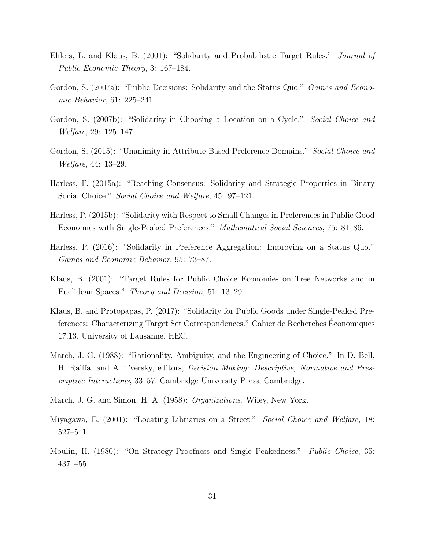- <span id="page-30-2"></span>Ehlers, L. and Klaus, B. (2001): "Solidarity and Probabilistic Target Rules." Journal of Public Economic Theory, 3: 167–184.
- <span id="page-30-5"></span>Gordon, S. (2007a): "Public Decisions: Solidarity and the Status Quo." *Games and Econo*mic Behavior, 61: 225–241.
- <span id="page-30-6"></span>Gordon, S. (2007b): "Solidarity in Choosing a Location on a Cycle." Social Choice and Welfare, 29: 125–147.
- <span id="page-30-7"></span>Gordon, S. (2015): "Unanimity in Attribute-Based Preference Domains." Social Choice and Welfare, 44: 13–29.
- <span id="page-30-10"></span>Harless, P. (2015a): "Reaching Consensus: Solidarity and Strategic Properties in Binary Social Choice." Social Choice and Welfare, 45: 97–121.
- <span id="page-30-8"></span>Harless, P. (2015b): "Solidarity with Respect to Small Changes in Preferences in Public Good Economies with Single-Peaked Preferences." Mathematical Social Sciences, 75: 81–86.
- <span id="page-30-9"></span>Harless, P. (2016): "Solidarity in Preference Aggregation: Improving on a Status Quo." Games and Economic Behavior, 95: 73–87.
- <span id="page-30-0"></span>Klaus, B. (2001): "Target Rules for Public Choice Economies on Tree Networks and in Euclidean Spaces." Theory and Decision, 51: 13–29.
- <span id="page-30-3"></span>Klaus, B. and Protopapas, P. (2017): "Solidarity for Public Goods under Single-Peaked Preferences: Characterizing Target Set Correspondences." Cahier de Recherches Economiques ´ 17.13, University of Lausanne, HEC.
- <span id="page-30-11"></span>March, J. G. (1988): "Rationality, Ambiguity, and the Engineering of Choice." In D. Bell, H. Raiffa, and A. Tversky, editors, Decision Making: Descriptive, Normative and Prescriptive Interactions, 33–57. Cambridge University Press, Cambridge.
- <span id="page-30-12"></span>March, J. G. and Simon, H. A. (1958): Organizations. Wiley, New York.
- <span id="page-30-4"></span>Miyagawa, E. (2001): "Locating Libriaries on a Street." Social Choice and Welfare, 18: 527–541.
- <span id="page-30-1"></span>Moulin, H. (1980): "On Strategy-Proofness and Single Peakedness." *Public Choice*, 35: 437–455.